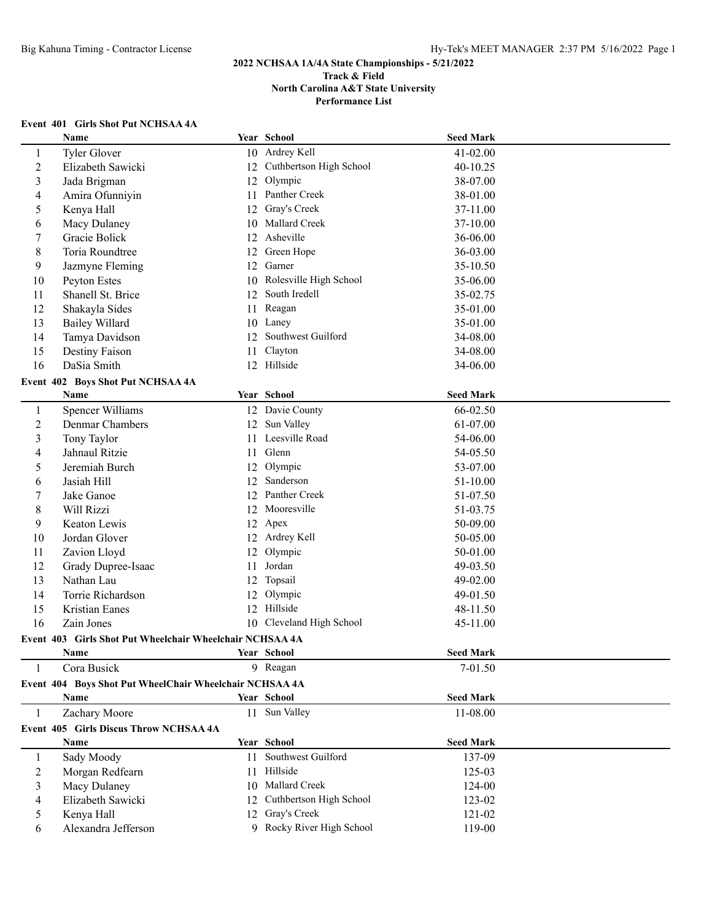## **Event 401 Girls Shot Put NCHSAA 4A**

|              | Name                                                     |    | Year School                | <b>Seed Mark</b> |  |
|--------------|----------------------------------------------------------|----|----------------------------|------------------|--|
| 1            | Tyler Glover                                             |    | 10 Ardrey Kell             | 41-02.00         |  |
| 2            | Elizabeth Sawicki                                        |    | 12 Cuthbertson High School | 40-10.25         |  |
| 3            | Jada Brigman                                             |    | 12 Olympic                 | 38-07.00         |  |
| 4            | Amira Ofunniyin                                          | 11 | Panther Creek              | 38-01.00         |  |
| 5            | Kenya Hall                                               | 12 | Gray's Creek               | 37-11.00         |  |
| 6            | Macy Dulaney                                             | 10 | Mallard Creek              | 37-10.00         |  |
| 7            | Gracie Bolick                                            | 12 | Asheville                  | 36-06.00         |  |
| 8            | Toria Roundtree                                          | 12 | Green Hope                 | 36-03.00         |  |
| 9            | Jazmyne Fleming                                          | 12 | Garner                     | 35-10.50         |  |
| 10           | Peyton Estes                                             | 10 | Rolesville High School     | 35-06.00         |  |
| 11           | Shanell St. Brice                                        | 12 | South Iredell              | 35-02.75         |  |
| 12           | Shakayla Sides                                           | 11 | Reagan                     | 35-01.00         |  |
| 13           | <b>Bailey Willard</b>                                    | 10 | Laney                      | 35-01.00         |  |
| 14           | Tamya Davidson                                           | 12 | Southwest Guilford         | 34-08.00         |  |
| 15           | Destiny Faison                                           | 11 | Clayton                    | 34-08.00         |  |
| 16           | DaSia Smith                                              |    | 12 Hillside                | 34-06.00         |  |
|              | Event 402 Boys Shot Put NCHSAA 4A                        |    |                            |                  |  |
|              | Name                                                     |    | Year School                | <b>Seed Mark</b> |  |
| $\mathbf{1}$ | Spencer Williams                                         |    | 12 Davie County            | 66-02.50         |  |
| 2            | Denmar Chambers                                          |    | 12 Sun Valley              | 61-07.00         |  |
| 3            | Tony Taylor                                              |    | 11 Leesville Road          | 54-06.00         |  |
| 4            | Jahnaul Ritzie                                           |    | 11 Glenn                   | 54-05.50         |  |
| 5            | Jeremiah Burch                                           |    | 12 Olympic                 | 53-07.00         |  |
| 6            | Jasiah Hill                                              | 12 | Sanderson                  | 51-10.00         |  |
| 7            | Jake Ganoe                                               |    | 12 Panther Creek           | 51-07.50         |  |
| 8            | Will Rizzi                                               | 12 | Mooresville                | 51-03.75         |  |
| 9            | Keaton Lewis                                             |    | 12 Apex                    | 50-09.00         |  |
| 10           | Jordan Glover                                            |    | 12 Ardrey Kell             | 50-05.00         |  |
| 11           | Zavion Lloyd                                             | 12 | Olympic                    | 50-01.00         |  |
| 12           | Grady Dupree-Isaac                                       | 11 | Jordan                     | 49-03.50         |  |
| 13           | Nathan Lau                                               | 12 | Topsail                    | 49-02.00         |  |
| 14           | Torrie Richardson                                        | 12 | Olympic                    | 49-01.50         |  |
| 15           | Kristian Eanes                                           |    | 12 Hillside                | 48-11.50         |  |
| 16           | Zain Jones                                               |    | 10 Cleveland High School   | 45-11.00         |  |
|              | Event 403 Girls Shot Put Wheelchair Wheelchair NCHSAA 4A |    |                            |                  |  |
|              | Name                                                     |    | Year School                | <b>Seed Mark</b> |  |
| 1            | Cora Busick                                              |    | 9 Reagan                   | 7-01.50          |  |
|              | Event 404 Boys Shot Put WheelChair Wheelchair NCHSAA 4A  |    |                            |                  |  |
|              | Name                                                     |    | Year School                | <b>Seed Mark</b> |  |
| 1            | Zachary Moore                                            |    | 11 Sun Valley              | 11-08.00         |  |
|              | Event 405 Girls Discus Throw NCHSAA 4A                   |    |                            |                  |  |
|              | Name                                                     |    | Year School                | <b>Seed Mark</b> |  |
| $\mathbf{1}$ | Sady Moody                                               |    | 11 Southwest Guilford      | 137-09           |  |
| 2            | Morgan Redfearn                                          |    | 11 Hillside                | 125-03           |  |
| 3            | Macy Dulaney                                             |    | 10 Mallard Creek           | 124-00           |  |
| 4            | Elizabeth Sawicki                                        |    | 12 Cuthbertson High School | 123-02           |  |
| 5            | Kenya Hall                                               |    | 12 Gray's Creek            | 121-02           |  |
| 6            | Alexandra Jefferson                                      |    | 9 Rocky River High School  | 119-00           |  |
|              |                                                          |    |                            |                  |  |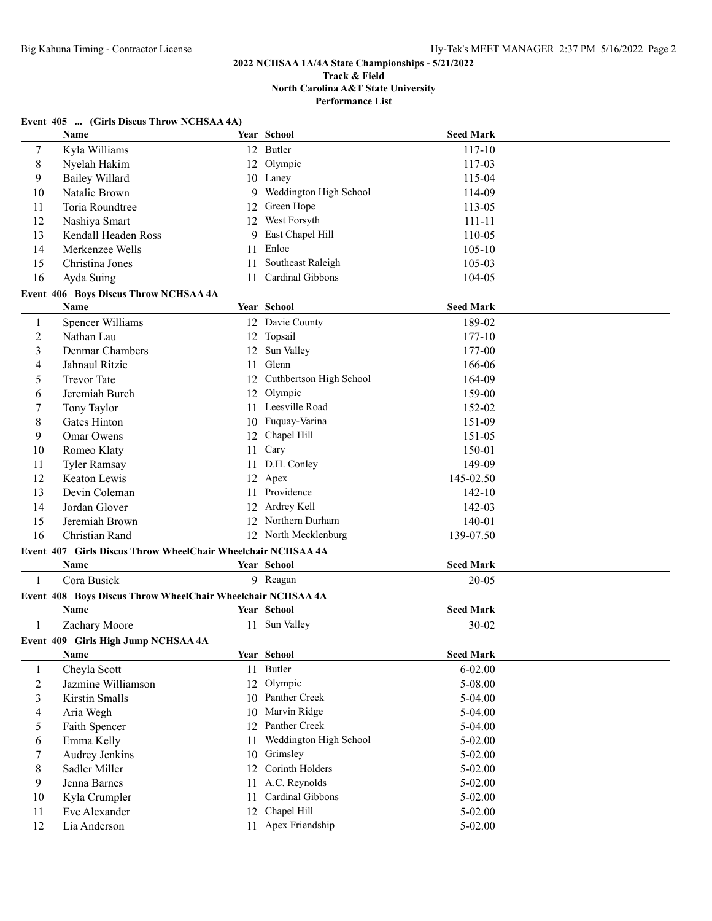#### **Track & Field North Carolina A&T State University Performance List**

#### **Event 405 ... (Girls Discus Throw NCHSAA 4A)**

|                          | Name                                                                 |    | Year School             | <b>Seed Mark</b> |  |
|--------------------------|----------------------------------------------------------------------|----|-------------------------|------------------|--|
| 7                        | Kyla Williams                                                        |    | 12 Butler               | 117-10           |  |
| 8                        | Nyelah Hakim                                                         | 12 | Olympic                 | 117-03           |  |
| 9                        | <b>Bailey Willard</b>                                                |    | 10 Laney                | 115-04           |  |
| 10                       | Natalie Brown                                                        | 9  | Weddington High School  | 114-09           |  |
| 11                       | Toria Roundtree                                                      | 12 | Green Hope              | 113-05           |  |
| 12                       | Nashiya Smart                                                        | 12 | West Forsyth            | $111 - 11$       |  |
| 13                       | Kendall Headen Ross                                                  | 9  | East Chapel Hill        | 110-05           |  |
| 14                       | Merkenzee Wells                                                      | 11 | Enloe                   | $105 - 10$       |  |
| 15                       | Christina Jones                                                      | 11 | Southeast Raleigh       | 105-03           |  |
| 16                       | Ayda Suing                                                           | 11 | Cardinal Gibbons        | 104-05           |  |
|                          | Event 406 Boys Discus Throw NCHSAA 4A                                |    |                         |                  |  |
|                          | Name                                                                 |    | Year School             | <b>Seed Mark</b> |  |
| $\mathbf{1}$             | Spencer Williams                                                     |    | 12 Davie County         | 189-02           |  |
| $\boldsymbol{2}$         | Nathan Lau                                                           |    | 12 Topsail              | 177-10           |  |
| $\mathfrak{Z}$           | Denmar Chambers                                                      | 12 | Sun Valley              | 177-00           |  |
| $\overline{\mathcal{A}}$ | Jahnaul Ritzie                                                       | 11 | Glenn                   | 166-06           |  |
| 5                        | <b>Trevor Tate</b>                                                   | 12 | Cuthbertson High School | 164-09           |  |
| 6                        | Jeremiah Burch                                                       | 12 | Olympic                 | 159-00           |  |
| 7                        | Tony Taylor                                                          | 11 | Leesville Road          | 152-02           |  |
| $\,$ 8 $\,$              | Gates Hinton                                                         | 10 | Fuquay-Varina           | 151-09           |  |
| 9                        | Omar Owens                                                           | 12 | Chapel Hill             | 151-05           |  |
| 10                       | Romeo Klaty                                                          | 11 | Cary                    | 150-01           |  |
| 11                       | <b>Tyler Ramsay</b>                                                  | 11 | D.H. Conley             | 149-09           |  |
| 12                       | Keaton Lewis                                                         |    | 12 Apex                 | 145-02.50        |  |
| 13                       | Devin Coleman                                                        |    | 11 Providence           | $142 - 10$       |  |
| 14                       | Jordan Glover                                                        | 12 | Ardrey Kell             | 142-03           |  |
| 15                       | Jeremiah Brown                                                       |    | 12 Northern Durham      | 140-01           |  |
| 16                       | Christian Rand                                                       |    | 12 North Mecklenburg    | 139-07.50        |  |
|                          |                                                                      |    |                         |                  |  |
|                          | Event 407 Girls Discus Throw WheelChair Wheelchair NCHSAA 4A<br>Name |    |                         |                  |  |
|                          |                                                                      |    | Year School             | <b>Seed Mark</b> |  |
| $\mathbf{1}$             | Cora Busick                                                          |    | 9 Reagan                | 20-05            |  |
|                          | Event 408 Boys Discus Throw WheelChair Wheelchair NCHSAA 4A          |    |                         |                  |  |
|                          | Name                                                                 |    | <b>Year School</b>      | <b>Seed Mark</b> |  |
| 1                        | Zachary Moore                                                        |    | 11 Sun Valley           | 30-02            |  |
|                          | Event 409 Girls High Jump NCHSAA 4A                                  |    |                         |                  |  |
|                          | Name                                                                 |    | Year School             | <b>Seed Mark</b> |  |
| $\mathbf{1}$             | Cheyla Scott                                                         |    | 11 Butler               | $6 - 02.00$      |  |
| $\sqrt{2}$               | Jazmine Williamson                                                   | 12 | Olympic                 | 5-08.00          |  |
| $\mathfrak{Z}$           | Kirstin Smalls                                                       | 10 | Panther Creek           | 5-04.00          |  |
| $\overline{4}$           | Aria Wegh                                                            | 10 | Marvin Ridge            | 5-04.00          |  |
| $\mathfrak s$            | Faith Spencer                                                        | 12 | Panther Creek           | 5-04.00          |  |
| 6                        | Emma Kelly                                                           | 11 | Weddington High School  | 5-02.00          |  |
| 7                        | Audrey Jenkins                                                       | 10 | Grimsley                | $5 - 02.00$      |  |
| $8\,$                    | Sadler Miller                                                        | 12 | Corinth Holders         | $5 - 02.00$      |  |
| 9                        | Jenna Barnes                                                         | 11 | A.C. Reynolds           | 5-02.00          |  |
| 10                       | Kyla Crumpler                                                        | 11 | Cardinal Gibbons        | 5-02.00          |  |
| 11                       | Eve Alexander                                                        | 12 | Chapel Hill             | $5 - 02.00$      |  |
| 12                       | Lia Anderson                                                         |    | 11 Apex Friendship      | $5 - 02.00$      |  |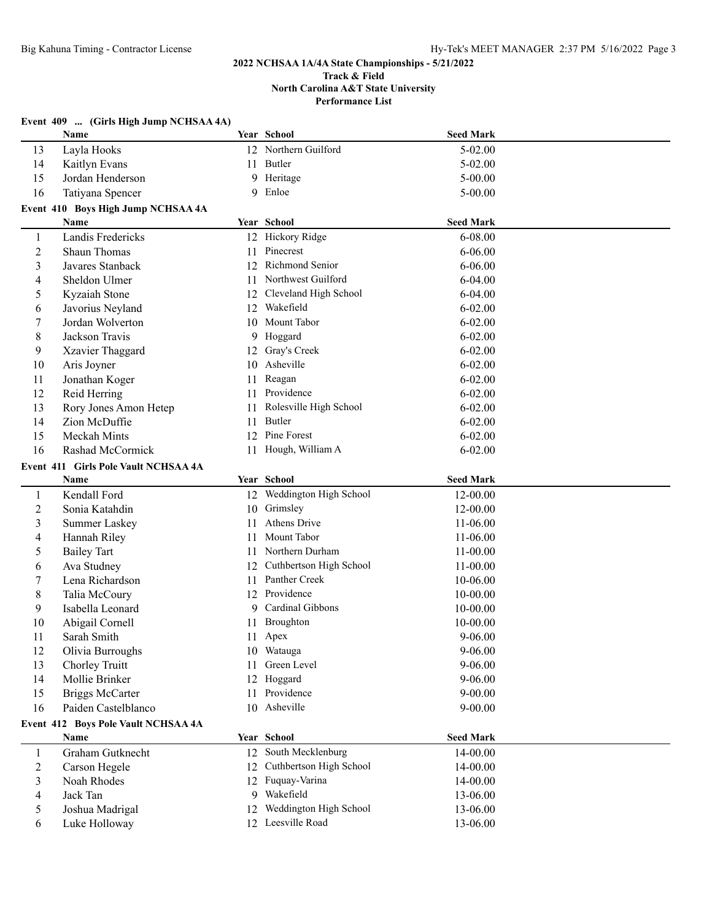|                | Event 409  (Girls High Jump NCHSAA 4A) |    |                            |                  |  |
|----------------|----------------------------------------|----|----------------------------|------------------|--|
|                | Name                                   |    | Year School                | <b>Seed Mark</b> |  |
| 13             | Layla Hooks                            |    | 12 Northern Guilford       | 5-02.00          |  |
| 14             | Kaitlyn Evans                          | 11 | Butler                     | 5-02.00          |  |
| 15             | Jordan Henderson                       | 9  | Heritage                   | 5-00.00          |  |
| 16             | Tatiyana Spencer                       | 9  | Enloe                      | $5 - 00.00$      |  |
|                | Event 410 Boys High Jump NCHSAA 4A     |    |                            |                  |  |
|                | Name                                   |    | Year School                | <b>Seed Mark</b> |  |
| 1              | Landis Fredericks                      |    | 12 Hickory Ridge           | 6-08.00          |  |
| $\overline{c}$ | Shaun Thomas                           | 11 | Pinecrest                  | $6 - 06.00$      |  |
| 3              | Javares Stanback                       | 12 | Richmond Senior            | $6 - 06.00$      |  |
| 4              | Sheldon Ulmer                          | 11 | Northwest Guilford         | $6 - 04.00$      |  |
| 5              | Kyzaiah Stone                          | 12 | Cleveland High School      | $6 - 04.00$      |  |
| 6              | Javorius Neyland                       | 12 | Wakefield                  | $6 - 02.00$      |  |
| 7              | Jordan Wolverton                       | 10 | Mount Tabor                | $6 - 02.00$      |  |
| 8              | Jackson Travis                         | 9. | Hoggard                    | $6 - 02.00$      |  |
| 9              | Xzavier Thaggard                       | 12 | Gray's Creek               | $6 - 02.00$      |  |
| 10             | Aris Joyner                            | 10 | Asheville                  | $6 - 02.00$      |  |
| 11             | Jonathan Koger                         | 11 | Reagan                     | $6 - 02.00$      |  |
| 12             | Reid Herring                           | 11 | Providence                 | $6 - 02.00$      |  |
| 13             | Rory Jones Amon Hetep                  | 11 | Rolesville High School     | $6 - 02.00$      |  |
| 14             | Zion McDuffie                          | 11 | Butler                     | $6 - 02.00$      |  |
| 15             | Meckah Mints                           | 12 | Pine Forest                | $6 - 02.00$      |  |
| 16             | Rashad McCormick                       | 11 | Hough, William A           | $6 - 02.00$      |  |
|                | Event 411 Girls Pole Vault NCHSAA 4A   |    |                            |                  |  |
|                | Name                                   |    | Year School                | <b>Seed Mark</b> |  |
| 1              | Kendall Ford                           |    | 12 Weddington High School  | 12-00.00         |  |
| $\overline{c}$ | Sonia Katahdin                         | 10 | Grimsley                   | 12-00.00         |  |
| 3              | <b>Summer Laskey</b>                   | 11 | <b>Athens Drive</b>        | 11-06.00         |  |
| 4              | Hannah Riley                           | 11 | Mount Tabor                | 11-06.00         |  |
| 5              | <b>Bailey Tart</b>                     | 11 | Northern Durham            | 11-00.00         |  |
| 6              | Ava Studney                            | 12 | Cuthbertson High School    | 11-00.00         |  |
| 7              | Lena Richardson                        | 11 | Panther Creek              | 10-06.00         |  |
| 8              | Talia McCoury                          | 12 | Providence                 | 10-00.00         |  |
| 9              | Isabella Leonard                       | 9. | Cardinal Gibbons           | 10-00.00         |  |
| 10             | Abigail Cornell                        |    | 11 Broughton               | 10-00.00         |  |
| 11             | Sarah Smith                            |    | 11 Apex                    | $9 - 06.00$      |  |
| 12             | Olivia Burroughs                       |    | 10 Watauga                 | $9 - 06.00$      |  |
| 13             | Chorley Truitt                         | 11 | Green Level                | 9-06.00          |  |
| 14             | Mollie Brinker                         | 12 | Hoggard                    | $9 - 06.00$      |  |
| 15             | <b>Briggs McCarter</b>                 | 11 | Providence                 | $9 - 00.00$      |  |
| 16             | Paiden Castelblanco                    |    | 10 Asheville               | $9 - 00.00$      |  |
|                | Event 412 Boys Pole Vault NCHSAA 4A    |    |                            |                  |  |
|                | Name                                   |    | Year School                | <b>Seed Mark</b> |  |
| 1              | Graham Gutknecht                       |    | 12 South Mecklenburg       | 14-00.00         |  |
| 2              | Carson Hegele                          |    | 12 Cuthbertson High School | 14-00.00         |  |
| 3              | Noah Rhodes                            |    | 12 Fuquay-Varina           | 14-00.00         |  |
| 4              | Jack Tan                               |    | 9 Wakefield                | 13-06.00         |  |
| 5              | Joshua Madrigal                        | 12 | Weddington High School     | 13-06.00         |  |
| 6              | Luke Holloway                          |    | 12 Leesville Road          | 13-06.00         |  |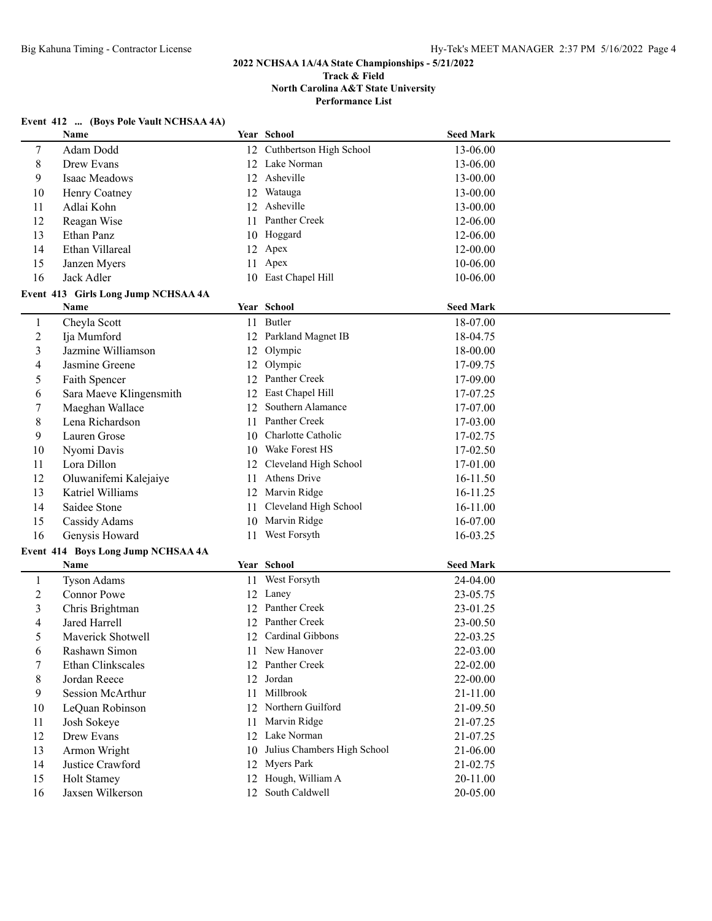#### **Event 412 ... (Boys Pole Vault NCHSAA 4A)**

|                | Name                                |    | Year School                 | <b>Seed Mark</b> |  |
|----------------|-------------------------------------|----|-----------------------------|------------------|--|
| $\tau$         | Adam Dodd                           |    | 12 Cuthbertson High School  | 13-06.00         |  |
| 8              | Drew Evans                          | 12 | Lake Norman                 | 13-06.00         |  |
| 9              | Isaac Meadows                       | 12 | Asheville                   | 13-00.00         |  |
| 10             | Henry Coatney                       | 12 | Watauga                     | 13-00.00         |  |
| 11             | Adlai Kohn                          | 12 | Asheville                   | 13-00.00         |  |
| 12             | Reagan Wise                         | 11 | Panther Creek               | 12-06.00         |  |
| 13             | Ethan Panz                          |    | 10 Hoggard                  | 12-06.00         |  |
| 14             | Ethan Villareal                     |    | 12 Apex                     | 12-00.00         |  |
| 15             | Janzen Myers                        |    | 11 Apex                     | 10-06.00         |  |
| 16             | Jack Adler                          |    | 10 East Chapel Hill         | 10-06.00         |  |
|                | Event 413 Girls Long Jump NCHSAA 4A |    |                             |                  |  |
|                | Name                                |    | Year School                 | <b>Seed Mark</b> |  |
| $\mathbf{1}$   | Cheyla Scott                        |    | 11 Butler                   | 18-07.00         |  |
| $\overline{2}$ | Ija Mumford                         |    | 12 Parkland Magnet IB       | 18-04.75         |  |
| $\mathfrak{Z}$ | Jazmine Williamson                  | 12 | Olympic                     | 18-00.00         |  |
| 4              | Jasmine Greene                      | 12 | Olympic                     | 17-09.75         |  |
| 5              | Faith Spencer                       |    | 12 Panther Creek            | 17-09.00         |  |
| 6              | Sara Maeve Klingensmith             |    | 12 East Chapel Hill         | 17-07.25         |  |
| 7              | Maeghan Wallace                     | 12 | Southern Alamance           | 17-07.00         |  |
| 8              | Lena Richardson                     |    | 11 Panther Creek            | 17-03.00         |  |
| 9              | Lauren Grose                        | 10 | Charlotte Catholic          | 17-02.75         |  |
| 10             | Nyomi Davis                         |    | 10 Wake Forest HS           | 17-02.50         |  |
| 11             | Lora Dillon                         | 12 | Cleveland High School       | 17-01.00         |  |
| 12             | Oluwanifemi Kalejaiye               | 11 | Athens Drive                | 16-11.50         |  |
| 13             | Katriel Williams                    | 12 | Marvin Ridge                | 16-11.25         |  |
| 14             | Saidee Stone                        | 11 | Cleveland High School       | 16-11.00         |  |
| 15             | Cassidy Adams                       | 10 | Marvin Ridge                | 16-07.00         |  |
| 16             | Genysis Howard                      | 11 | West Forsyth                | 16-03.25         |  |
|                | Event 414 Boys Long Jump NCHSAA 4A  |    |                             |                  |  |
|                | Name                                |    | Year School                 | <b>Seed Mark</b> |  |
| $\mathbf{1}$   | <b>Tyson Adams</b>                  | 11 | West Forsyth                | 24-04.00         |  |
| $\overline{2}$ | <b>Connor Powe</b>                  | 12 | Laney                       | 23-05.75         |  |
| 3              | Chris Brightman                     |    | 12 Panther Creek            | 23-01.25         |  |
| 4              | Jared Harrell                       |    | 12 Panther Creek            | 23-00.50         |  |
| 5              | Maverick Shotwell                   |    | 12 Cardinal Gibbons         | 22-03.25         |  |
| 6              | Rashawn Simon                       |    | 11 New Hanover              | 22-03.00         |  |
| $\tau$         | Ethan Clinkscales                   |    | 12 Panther Creek            | 22-02.00         |  |
| 8              | Jordan Reece                        |    | 12 Jordan                   | 22-00.00         |  |
| 9              | <b>Session McArthur</b>             |    | 11 Millbrook                | 21-11.00         |  |
| 10             | LeQuan Robinson                     |    | 12 Northern Guilford        | 21-09.50         |  |
| 11             | Josh Sokeye                         | 11 | Marvin Ridge                | 21-07.25         |  |
| 12             | Drew Evans                          |    | 12 Lake Norman              | 21-07.25         |  |
| 13             | Armon Wright                        | 10 | Julius Chambers High School | 21-06.00         |  |
| 14             | Justice Crawford                    | 12 | Myers Park                  | 21-02.75         |  |
| 15             | Holt Stamey                         | 12 | Hough, William A            | 20-11.00         |  |
| 16             | Jaxsen Wilkerson                    | 12 | South Caldwell              | 20-05.00         |  |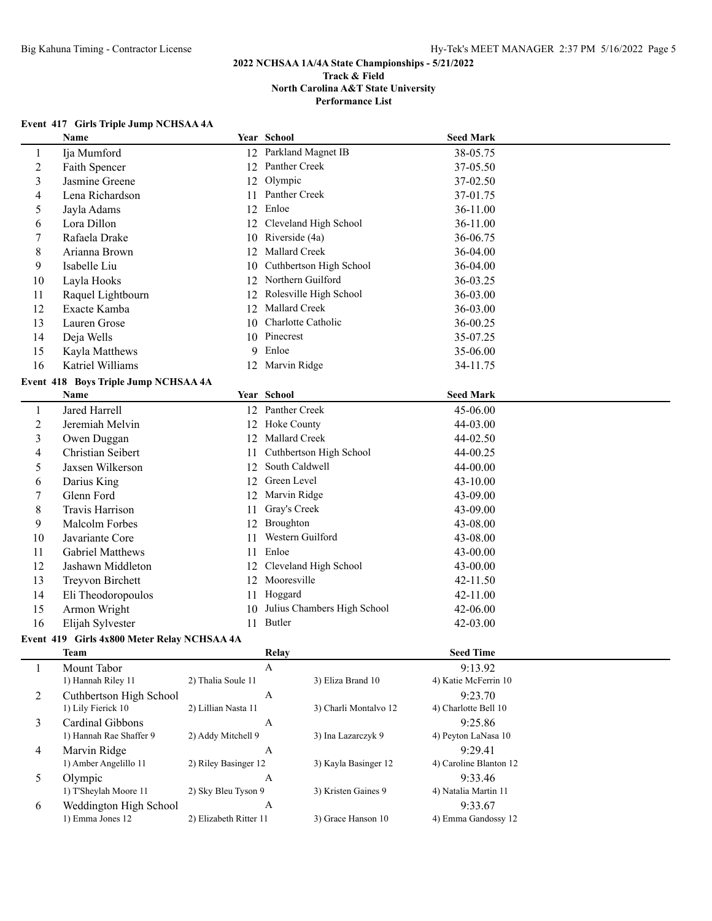# **Event 417 Girls Triple Jump NCHSAA 4A**

|                          | Name                                 |    | Year School                    | <b>Seed Mark</b> |  |
|--------------------------|--------------------------------------|----|--------------------------------|------------------|--|
| $\mathbf{1}$             | Ija Mumford                          |    | 12 Parkland Magnet IB          | 38-05.75         |  |
| $\overline{c}$           | Faith Spencer                        |    | 12 Panther Creek               | 37-05.50         |  |
| 3                        | Jasmine Greene                       |    | 12 Olympic                     | 37-02.50         |  |
| 4                        | Lena Richardson                      |    | 11 Panther Creek               | 37-01.75         |  |
| 5                        | Jayla Adams                          |    | 12 Enloe                       | 36-11.00         |  |
| 6                        | Lora Dillon                          |    | 12 Cleveland High School       | 36-11.00         |  |
| $\tau$                   | Rafaela Drake                        |    | 10 Riverside (4a)              | 36-06.75         |  |
| 8                        | Arianna Brown                        |    | 12 Mallard Creek               | 36-04.00         |  |
| 9                        | Isabelle Liu                         | 10 | Cuthbertson High School        | 36-04.00         |  |
| 10                       | Layla Hooks                          | 12 | Northern Guilford              | 36-03.25         |  |
| 11                       | Raquel Lightbourn                    | 12 | Rolesville High School         | 36-03.00         |  |
| 12                       | Exacte Kamba                         | 12 | Mallard Creek                  | 36-03.00         |  |
| 13                       | Lauren Grose                         | 10 | Charlotte Catholic             | 36-00.25         |  |
| 14                       | Deja Wells                           | 10 | Pinecrest                      | 35-07.25         |  |
| 15                       | Kayla Matthews                       | 9  | Enloe                          | 35-06.00         |  |
| 16                       | Katriel Williams                     |    | 12 Marvin Ridge                | 34-11.75         |  |
|                          | Event 418 Boys Triple Jump NCHSAA 4A |    |                                |                  |  |
|                          |                                      |    |                                |                  |  |
|                          | Name                                 |    | Year School                    | <b>Seed Mark</b> |  |
| $\mathbf{1}$             | Jared Harrell                        |    | 12 Panther Creek               | 45-06.00         |  |
| $\overline{2}$           | Jeremiah Melvin                      |    | 12 Hoke County                 | 44-03.00         |  |
| 3                        | Owen Duggan                          |    | 12 Mallard Creek               | 44-02.50         |  |
| $\overline{\mathcal{L}}$ | Christian Seibert                    | 11 | Cuthbertson High School        | 44-00.25         |  |
| 5                        | Jaxsen Wilkerson                     | 12 | South Caldwell                 | 44-00.00         |  |
| 6                        | Darius King                          | 12 | Green Level                    | 43-10.00         |  |
| 7                        | Glenn Ford                           | 12 | Marvin Ridge                   | 43-09.00         |  |
| $\,8\,$                  | Travis Harrison                      | 11 | Gray's Creek                   | 43-09.00         |  |
| 9                        | Malcolm Forbes                       | 12 | Broughton                      | 43-08.00         |  |
| 10                       | Javariante Core                      | 11 | Western Guilford               | 43-08.00         |  |
| 11                       | Gabriel Matthews                     | 11 | Enloe                          | 43-00.00         |  |
| 12                       | Jashawn Middleton                    |    | 12 Cleveland High School       | 43-00.00         |  |
| 13                       | Treyvon Birchett                     |    | 12 Mooresville                 | 42-11.50         |  |
| 14                       | Eli Theodoropoulos                   |    | 11 Hoggard                     | 42-11.00         |  |
| 15                       | Armon Wright                         |    | 10 Julius Chambers High School | 42-06.00         |  |
| 16                       | Elijah Sylvester                     |    | 11 Butler                      | 42-03.00         |  |

|   | <b>Team</b>             | Relay                  |                       | <b>Seed Time</b>       |  |
|---|-------------------------|------------------------|-----------------------|------------------------|--|
|   | Mount Tabor             | А                      |                       | 9:13.92                |  |
|   | 1) Hannah Riley 11      | 2) Thalia Soule 11     | 3) Eliza Brand 10     | 4) Katie McFerrin 10   |  |
|   | Cuthbertson High School | А                      |                       | 9:23.70                |  |
|   | 1) Lily Fierick 10      | 2) Lillian Nasta 11    | 3) Charli Montalvo 12 | 4) Charlotte Bell 10   |  |
| 3 | Cardinal Gibbons        | А                      |                       | 9:25.86                |  |
|   | 1) Hannah Rae Shaffer 9 | 2) Addy Mitchell 9     | 3) Ina Lazarczyk 9    | 4) Peyton LaNasa 10    |  |
| 4 | Marvin Ridge            | А                      |                       | 9:29.41                |  |
|   | 1) Amber Angelillo 11   | 2) Riley Basinger 12   | 3) Kayla Basinger 12  | 4) Caroline Blanton 12 |  |
|   | Olympic                 | А                      |                       | 9:33.46                |  |
|   | 1) T'Sheylah Moore 11   | 2) Sky Bleu Tyson 9    | 3) Kristen Gaines 9   | 4) Natalia Martin 11   |  |
| 6 | Weddington High School  | А                      |                       | 9:33.67                |  |
|   | 1) Emma Jones 12        | 2) Elizabeth Ritter 11 | 3) Grace Hanson 10    | 4) Emma Gandossy 12    |  |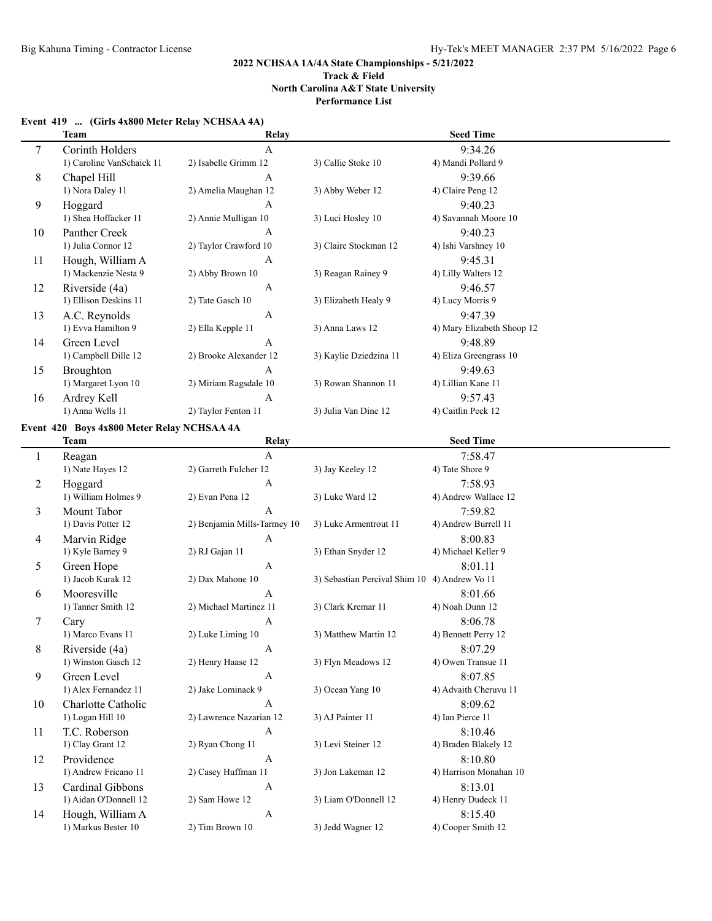**Performance List**

#### **Event 419 ... (Girls 4x800 Meter Relay NCHSAA 4A)**

|              | <b>Team</b>                                | Relay                       |                                               | <b>Seed Time</b>           |
|--------------|--------------------------------------------|-----------------------------|-----------------------------------------------|----------------------------|
| 7            | Corinth Holders                            | $\mathbf{A}$                |                                               | 9:34.26                    |
|              | 1) Caroline VanSchaick 11                  | 2) Isabelle Grimm 12        | 3) Callie Stoke 10                            | 4) Mandi Pollard 9         |
| 8            | Chapel Hill                                | A                           |                                               | 9:39.66                    |
|              | 1) Nora Daley 11                           | 2) Amelia Maughan 12        | 3) Abby Weber 12                              | 4) Claire Peng 12          |
| 9            | Hoggard                                    | A                           |                                               | 9:40.23                    |
|              | 1) Shea Hoffacker 11                       | 2) Annie Mulligan 10        | 3) Luci Hosley 10                             | 4) Savannah Moore 10       |
| 10           | Panther Creek                              | A                           |                                               | 9:40.23                    |
|              | 1) Julia Connor 12                         | 2) Taylor Crawford 10       | 3) Claire Stockman 12                         | 4) Ishi Varshney 10        |
| 11           | Hough, William A                           | A                           |                                               | 9:45.31                    |
|              | 1) Mackenzie Nesta 9                       | 2) Abby Brown 10            | 3) Reagan Rainey 9                            | 4) Lilly Walters 12        |
| 12           | Riverside (4a)                             | A                           |                                               | 9:46.57                    |
|              | 1) Ellison Deskins 11                      | 2) Tate Gasch 10            | 3) Elizabeth Healy 9                          | 4) Lucy Morris 9           |
| 13           | A.C. Reynolds                              | A                           |                                               | 9:47.39                    |
|              | 1) Evva Hamilton 9                         | 2) Ella Kepple 11           | 3) Anna Laws 12                               | 4) Mary Elizabeth Shoop 12 |
| 14           | Green Level                                | A                           |                                               | 9:48.89                    |
|              | 1) Campbell Dille 12                       | 2) Brooke Alexander 12      | 3) Kaylie Dziedzina 11                        | 4) Eliza Greengrass 10     |
| 15           | Broughton                                  | A                           |                                               | 9:49.63                    |
|              | 1) Margaret Lyon 10                        | 2) Miriam Ragsdale 10       | 3) Rowan Shannon 11                           | 4) Lillian Kane 11         |
| 16           | Ardrey Kell                                | A                           |                                               | 9:57.43                    |
|              | 1) Anna Wells 11                           | 2) Taylor Fenton 11         | 3) Julia Van Dine 12                          | 4) Caitlin Peck 12         |
|              |                                            |                             |                                               |                            |
|              | Event 420 Boys 4x800 Meter Relay NCHSAA 4A |                             |                                               |                            |
|              | <b>Team</b>                                | Relay                       |                                               | <b>Seed Time</b>           |
| $\mathbf{1}$ | Reagan                                     | $\mathbf{A}$                |                                               | 7:58.47                    |
|              | 1) Nate Hayes 12                           | 2) Garreth Fulcher 12       | 3) Jay Keeley 12                              | 4) Tate Shore 9            |
| 2            | Hoggard                                    | A                           |                                               | 7:58.93                    |
|              | 1) William Holmes 9                        | 2) Evan Pena 12             | 3) Luke Ward 12                               | 4) Andrew Wallace 12       |
| 3            | Mount Tabor                                | A                           |                                               | 7:59.82                    |
|              | 1) Davis Potter 12                         | 2) Benjamin Mills-Tarmey 10 | 3) Luke Armentrout 11                         | 4) Andrew Burrell 11       |
| 4            | Marvin Ridge                               | A                           |                                               | 8:00.83                    |
|              | 1) Kyle Barney 9                           | 2) RJ Gajan 11              | 3) Ethan Snyder 12                            | 4) Michael Keller 9        |
| 5            | Green Hope                                 | A                           |                                               | 8:01.11                    |
|              | 1) Jacob Kurak 12                          | 2) Dax Mahone 10            | 3) Sebastian Percival Shim 10 4) Andrew Vo 11 |                            |
| 6            | Mooresville                                | A                           |                                               | 8:01.66                    |
|              | 1) Tanner Smith 12                         | 2) Michael Martinez 11      | 3) Clark Kremar 11                            | 4) Noah Dunn 12            |
| 7            | Cary                                       | A                           |                                               | 8:06.78                    |
|              | 1) Marco Evans 11                          | 2) Luke Liming 10           | 3) Matthew Martin 12                          | 4) Bennett Perry 12        |
| 8            | Riverside (4a)                             | A                           |                                               | 8:07.29                    |
|              | 1) Winston Gasch 12                        | 2) Henry Haase 12           | 3) Flyn Meadows 12                            | 4) Owen Transue 11         |
| 9            | Green Level                                | A                           |                                               | 8:07.85                    |
|              | 1) Alex Fernandez 11                       | 2) Jake Lominack 9          | 3) Ocean Yang 10                              | 4) Advaith Cheruvu 11      |
| 10           | Charlotte Catholic                         | A                           |                                               | 8:09.62                    |
|              | 1) Logan Hill 10                           | 2) Lawrence Nazarian 12     | 3) AJ Painter 11                              | 4) Ian Pierce 11           |
| 11           | T.C. Roberson                              | A                           |                                               | 8:10.46                    |
|              | 1) Clay Grant 12                           | 2) Ryan Chong 11            | 3) Levi Steiner 12                            | 4) Braden Blakely 12       |
| 12           | Providence                                 | A                           |                                               | 8:10.80                    |
|              | 1) Andrew Fricano 11                       | 2) Casey Huffman 11         | 3) Jon Lakeman 12                             | 4) Harrison Monahan 10     |
| 13           | Cardinal Gibbons                           | A                           |                                               | 8:13.01                    |
|              | 1) Aidan O'Donnell 12                      | 2) Sam Howe 12              | 3) Liam O'Donnell 12                          | 4) Henry Dudeck 11         |
| 14           | Hough, William A                           | A                           |                                               | 8:15.40                    |
|              | 1) Markus Bester 10                        | 2) Tim Brown 10             | 3) Jedd Wagner 12                             | 4) Cooper Smith 12         |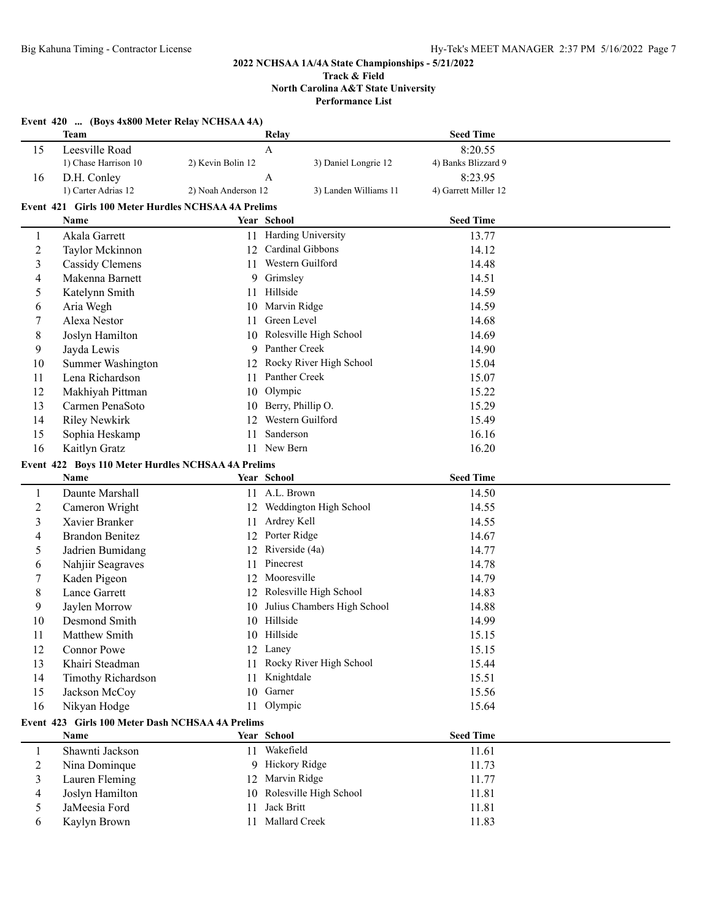#### **Track & Field North Carolina A&T State University Performance List**

|                | Event 420  (Boys 4x800 Meter Relay NCHSAA 4A)       |                     |                             |                      |  |
|----------------|-----------------------------------------------------|---------------------|-----------------------------|----------------------|--|
|                | Team                                                |                     | Relay                       | <b>Seed Time</b>     |  |
| 15             | Leesville Road                                      |                     | A                           | 8:20.55              |  |
|                | 1) Chase Harrison 10                                | 2) Kevin Bolin 12   | 3) Daniel Longrie 12        | 4) Banks Blizzard 9  |  |
| 16             | D.H. Conley                                         |                     | A                           | 8:23.95              |  |
|                | 1) Carter Adrias 12                                 | 2) Noah Anderson 12 | 3) Landen Williams 11       | 4) Garrett Miller 12 |  |
|                | Event 421 Girls 100 Meter Hurdles NCHSAA 4A Prelims |                     |                             |                      |  |
|                | Name                                                |                     | Year School                 | <b>Seed Time</b>     |  |
| 1              | Akala Garrett                                       |                     | 11 Harding University       | 13.77                |  |
| $\overline{c}$ | Taylor Mckinnon                                     |                     | 12 Cardinal Gibbons         | 14.12                |  |
| 3              | <b>Cassidy Clemens</b>                              |                     | 11 Western Guilford         | 14.48                |  |
| 4              | Makenna Barnett                                     |                     | 9 Grimsley                  | 14.51                |  |
| 5              | Katelynn Smith                                      | 11                  | Hillside                    | 14.59                |  |
| 6              | Aria Wegh                                           |                     | 10 Marvin Ridge             | 14.59                |  |
| 7              | Alexa Nestor                                        | 11                  | Green Level                 | 14.68                |  |
| 8              | Joslyn Hamilton                                     |                     | 10 Rolesville High School   | 14.69                |  |
| 9              | Jayda Lewis                                         |                     | 9 Panther Creek             | 14.90                |  |
| 10             | Summer Washington                                   |                     | 12 Rocky River High School  | 15.04                |  |
| 11             | Lena Richardson                                     |                     | 11 Panther Creek            | 15.07                |  |
| 12             | Makhiyah Pittman                                    |                     | 10 Olympic                  | 15.22                |  |
| 13             | Carmen PenaSoto                                     |                     | 10 Berry, Phillip O.        | 15.29                |  |
| 14             | <b>Riley Newkirk</b>                                | $12^{\circ}$        | Western Guilford            | 15.49                |  |
| 15             | Sophia Heskamp                                      | 11                  | Sanderson                   | 16.16                |  |
| 16             | Kaitlyn Gratz                                       | 11                  | New Bern                    | 16.20                |  |
|                | Event 422 Boys 110 Meter Hurdles NCHSAA 4A Prelims  |                     |                             |                      |  |
|                | Name                                                |                     | Year School                 | <b>Seed Time</b>     |  |
| 1              | Daunte Marshall                                     |                     | 11 A.L. Brown               | 14.50                |  |
| $\overline{c}$ | Cameron Wright                                      | 12                  | Weddington High School      | 14.55                |  |
| 3              | Xavier Branker                                      | 11                  | Ardrey Kell                 | 14.55                |  |
| 4              | <b>Brandon Benitez</b>                              |                     | 12 Porter Ridge             | 14.67                |  |
| 5              | Jadrien Bumidang                                    | 12                  | Riverside (4a)              | 14.77                |  |
| 6              | Nahjiir Seagraves                                   | 11                  | Pinecrest                   | 14.78                |  |
| 7              | Kaden Pigeon                                        | 12                  | Mooresville                 | 14.79                |  |
| 8              | Lance Garrett                                       |                     | 12 Rolesville High School   | 14.83                |  |
| 9              | Jaylen Morrow                                       | 10                  | Julius Chambers High School | 14.88                |  |
| 10             | Desmond Smith                                       |                     | 10 Hillside                 | 14.99                |  |
| 11             | Matthew Smith                                       |                     | 10 Hillside                 | 15.15                |  |
| 12             | Connor Powe                                         |                     | 12 Laney                    | 15.15                |  |
| 13             | Khairi Steadman                                     |                     | 11 Rocky River High School  | 15.44                |  |
| 14             | Timothy Richardson                                  | 11                  | Knightdale                  | 15.51                |  |
| 15             | Jackson McCoy                                       |                     | 10 Garner                   | 15.56                |  |
| 16             | Nikyan Hodge                                        |                     | 11 Olympic                  | 15.64                |  |
|                | Event 423 Girls 100 Meter Dash NCHSAA 4A Prelims    |                     |                             |                      |  |
|                | Name                                                |                     | Year School                 | <b>Seed Time</b>     |  |
| $\mathbf{1}$   | Shawnti Jackson                                     |                     | 11 Wakefield                | 11.61                |  |
| $\overline{c}$ | Nina Dominque                                       |                     | 9 Hickory Ridge             | 11.73                |  |
| 3              | Lauren Fleming                                      | 12                  | Marvin Ridge                | 11.77                |  |
| 4              | Joslyn Hamilton                                     | 10                  | Rolesville High School      | 11.81                |  |
| 5              | JaMeesia Ford                                       | 11                  | Jack Britt                  | 11.81                |  |
| 6              | Kaylyn Brown                                        | 11                  | Mallard Creek               | 11.83                |  |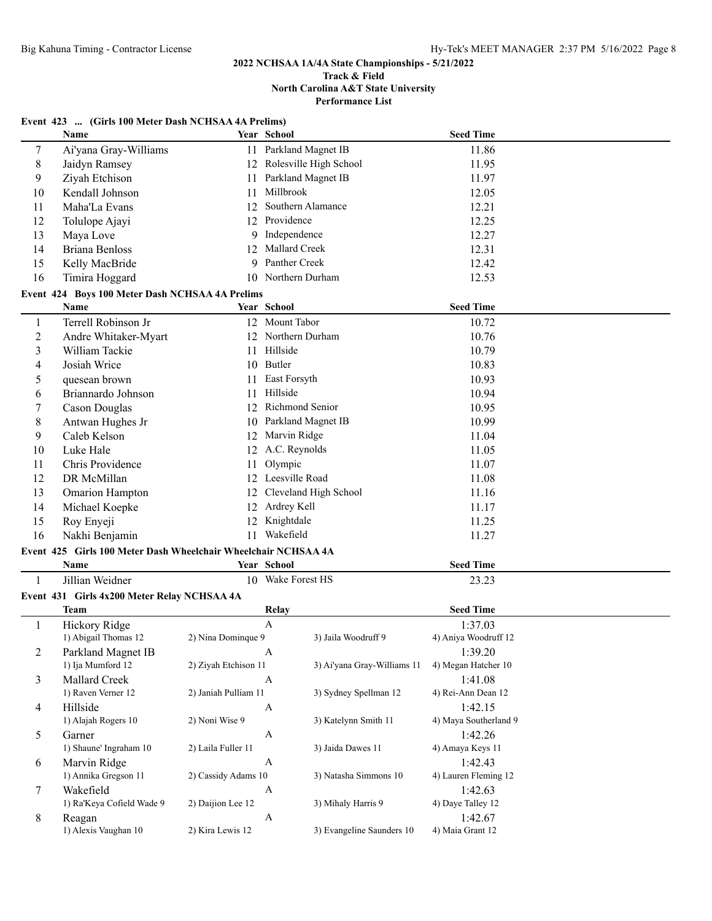#### **Track & Field North Carolina A&T State University Performance List**

|  | Event 423  (Girls 100 Meter Dash NCHSAA 4A Prelims) |
|--|-----------------------------------------------------|
|--|-----------------------------------------------------|

|                | Name                                                           |                      | Year School                 | <b>Seed Time</b>      |  |
|----------------|----------------------------------------------------------------|----------------------|-----------------------------|-----------------------|--|
| $\tau$         | Ai'yana Gray-Williams                                          | 11                   | Parkland Magnet IB          | 11.86                 |  |
| 8              | Jaidyn Ramsey                                                  |                      | 12 Rolesville High School   | 11.95                 |  |
| 9              | Ziyah Etchison                                                 | 11                   | Parkland Magnet IB          | 11.97                 |  |
| 10             | Kendall Johnson                                                | 11                   | Millbrook                   | 12.05                 |  |
| 11             | Maha'La Evans                                                  | 12                   | Southern Alamance           | 12.21                 |  |
| 12             | Tolulope Ajayi                                                 |                      | 12 Providence               | 12.25                 |  |
| 13             | Maya Love                                                      | 9                    | Independence                | 12.27                 |  |
| 14             | <b>Briana Benloss</b>                                          | 12                   | Mallard Creek               | 12.31                 |  |
| 15             | Kelly MacBride                                                 | 9                    | Panther Creek               | 12.42                 |  |
| 16             | Timira Hoggard                                                 |                      | 10 Northern Durham          | 12.53                 |  |
|                | Event 424 Boys 100 Meter Dash NCHSAA 4A Prelims                |                      |                             |                       |  |
|                | Name                                                           |                      | Year School                 | <b>Seed Time</b>      |  |
| 1              | Terrell Robinson Jr                                            |                      | 12 Mount Tabor              | 10.72                 |  |
| $\overline{2}$ | Andre Whitaker-Myart                                           |                      | 12 Northern Durham          | 10.76                 |  |
| 3              | William Tackie                                                 |                      | 11 Hillside                 | 10.79                 |  |
| 4              | Josiah Wrice                                                   |                      | 10 Butler                   | 10.83                 |  |
| 5              | quesean brown                                                  | 11                   | East Forsyth                | 10.93                 |  |
| 6              | Briannardo Johnson                                             | 11                   | Hillside                    | 10.94                 |  |
|                |                                                                | 12                   | Richmond Senior             | 10.95                 |  |
| 7              | <b>Cason Douglas</b>                                           |                      | Parkland Magnet IB          |                       |  |
| 8              | Antwan Hughes Jr                                               | 10                   |                             | 10.99                 |  |
| 9              | Caleb Kelson                                                   | 12                   | Marvin Ridge                | 11.04                 |  |
| 10             | Luke Hale                                                      |                      | 12 A.C. Reynolds            | 11.05                 |  |
| 11             | Chris Providence                                               | 11                   | Olympic                     | 11.07                 |  |
| 12             | DR McMillan                                                    |                      | 12 Leesville Road           | 11.08                 |  |
| 13             | <b>Omarion Hampton</b>                                         | 12                   | Cleveland High School       | 11.16                 |  |
| 14             | Michael Koepke                                                 |                      | 12 Ardrey Kell              | 11.17                 |  |
| 15             | Roy Enyeji                                                     |                      | 12 Knightdale               | 11.25                 |  |
| 16             | Nakhi Benjamin                                                 | 11                   | Wakefield                   | 11.27                 |  |
|                | Event 425 Girls 100 Meter Dash Wheelchair Wheelchair NCHSAA 4A |                      |                             |                       |  |
|                | Name                                                           |                      | Year School                 | <b>Seed Time</b>      |  |
| 1              | Jillian Weidner                                                |                      | 10 Wake Forest HS           | 23.23                 |  |
|                | Event 431 Girls 4x200 Meter Relay NCHSAA 4A                    |                      |                             |                       |  |
|                | <b>Team</b>                                                    |                      | Relay                       | <b>Seed Time</b>      |  |
| 1              | Hickory Ridge                                                  |                      | $\mathbf{A}$                | 1:37.03               |  |
|                | 1) Abigail Thomas 12                                           | 2) Nina Dominque 9   | 3) Jaila Woodruff 9         | 4) Aniya Woodruff 12  |  |
| 2              | Parkland Magnet IB                                             |                      |                             | 1:39.20               |  |
|                | 1) Ija Mumford 12                                              | 2) Ziyah Etchison 11 | 3) Ai'yana Gray-Williams 11 | 4) Megan Hatcher 10   |  |
| 3              | Mallard Creek                                                  |                      | $\mathbf{A}$                | 1:41.08               |  |
|                | 1) Raven Verner 12                                             | 2) Janiah Pulliam 11 | 3) Sydney Spellman 12       | 4) Rei-Ann Dean 12    |  |
| 4              | Hillside                                                       |                      | A                           | 1:42.15               |  |
|                | 1) Alajah Rogers 10                                            | 2) Noni Wise 9       | 3) Katelynn Smith 11        | 4) Maya Southerland 9 |  |
| 5              | Garner                                                         |                      | $\boldsymbol{A}$            | 1:42.26               |  |
|                | 1) Shaune' Ingraham 10                                         | 2) Laila Fuller 11   | 3) Jaida Dawes 11           | 4) Amaya Keys 11      |  |
| 6              | Marvin Ridge                                                   |                      | $\mathbf{A}$                | 1:42.43               |  |
|                | 1) Annika Gregson 11                                           | 2) Cassidy Adams 10  | 3) Natasha Simmons 10       | 4) Lauren Fleming 12  |  |
| $\tau$         | Wakefield                                                      |                      | A                           | 1:42.63               |  |
|                | 1) Ra'Keya Cofield Wade 9                                      | 2) Daijion Lee 12    | 3) Mihaly Harris 9          | 4) Daye Talley 12     |  |
| 8              | Reagan                                                         |                      | A                           | 1:42.67               |  |
|                | 1) Alexis Vaughan 10                                           | 2) Kira Lewis 12     | 3) Evangeline Saunders 10   | 4) Maia Grant 12      |  |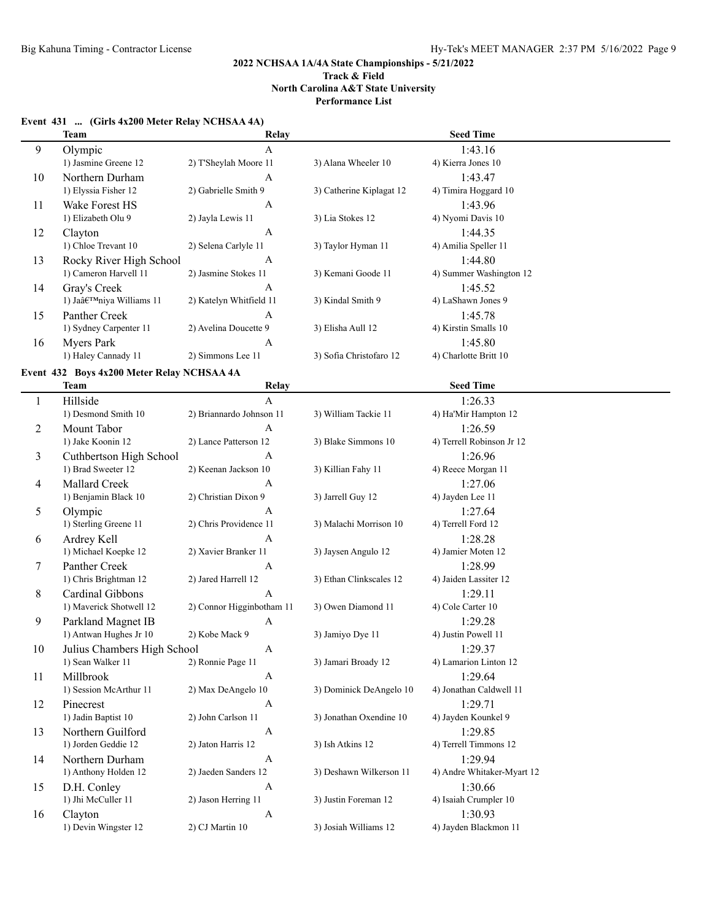#### **Event 431 ... (Girls 4x200 Meter Relay NCHSAA 4A)**

|              | <b>Team</b>                                | Relay                                    |                          | <b>Seed Time</b>                 |
|--------------|--------------------------------------------|------------------------------------------|--------------------------|----------------------------------|
| 9            | Olympic<br>1) Jasmine Greene 12            | $\mathbf{A}$<br>2) T'Sheylah Moore 11    | 3) Alana Wheeler 10      | 1:43.16<br>4) Kierra Jones 10    |
|              |                                            |                                          |                          |                                  |
| 10           | Northern Durham<br>1) Elyssia Fisher 12    | $\boldsymbol{A}$<br>2) Gabrielle Smith 9 | 3) Catherine Kiplagat 12 | 1:43.47<br>4) Timira Hoggard 10  |
| 11           | Wake Forest HS                             | A                                        |                          | 1:43.96                          |
|              | 1) Elizabeth Olu 9                         | 2) Jayla Lewis 11                        | 3) Lia Stokes 12         | 4) Nyomi Davis 10                |
| 12           | Clayton                                    | $\boldsymbol{A}$                         |                          | 1:44.35                          |
|              | 1) Chloe Trevant 10                        | 2) Selena Carlyle 11                     | 3) Taylor Hyman 11       | 4) Amilia Speller 11             |
| 13           | Rocky River High School                    | A                                        |                          | 1:44.80                          |
|              | 1) Cameron Harvell 11                      | 2) Jasmine Stokes 11                     | 3) Kemani Goode 11       | 4) Summer Washington 12          |
| 14           | Gray's Creek                               | A                                        |                          | 1:45.52                          |
|              | 1) Ja'niya Williams 11                     | 2) Katelyn Whitfield 11                  | 3) Kindal Smith 9        | 4) LaShawn Jones 9               |
| 15           | Panther Creek                              | A                                        |                          | 1:45.78                          |
|              | 1) Sydney Carpenter 11                     | 2) Avelina Doucette 9                    | 3) Elisha Aull 12        | 4) Kirstin Smalls 10             |
| 16           | <b>Myers Park</b>                          | A                                        |                          | 1:45.80                          |
|              | 1) Haley Cannady 11                        | 2) Simmons Lee 11                        | 3) Sofia Christofaro 12  | 4) Charlotte Britt 10            |
|              | Event 432 Boys 4x200 Meter Relay NCHSAA 4A |                                          |                          |                                  |
|              | <b>Team</b>                                | Relay                                    |                          | <b>Seed Time</b>                 |
| $\mathbf{1}$ | Hillside                                   | $\mathbf{A}$                             |                          | 1:26.33                          |
|              | 1) Desmond Smith 10                        | 2) Briannardo Johnson 11                 | 3) William Tackie 11     | 4) Ha'Mir Hampton 12             |
| 2            | Mount Tabor                                | A                                        |                          | 1:26.59                          |
|              | 1) Jake Koonin 12                          | 2) Lance Patterson 12                    | 3) Blake Simmons 10      | 4) Terrell Robinson Jr 12        |
| 3            | Cuthbertson High School                    | A                                        |                          | 1:26.96                          |
|              | 1) Brad Sweeter 12                         | 2) Keenan Jackson 10                     | 3) Killian Fahy 11       | 4) Reece Morgan 11               |
| 4            | Mallard Creek                              | A                                        |                          | 1:27.06                          |
|              | 1) Benjamin Black 10                       | 2) Christian Dixon 9                     | 3) Jarrell Guy 12        | 4) Jayden Lee 11                 |
| 5            | Olympic                                    | A                                        |                          | 1:27.64                          |
|              | 1) Sterling Greene 11                      | 2) Chris Providence 11                   | 3) Malachi Morrison 10   | 4) Terrell Ford 12               |
| 6            | Ardrey Kell                                | A                                        |                          | 1:28.28                          |
|              | 1) Michael Koepke 12                       | 2) Xavier Branker 11                     | 3) Jaysen Angulo 12      | 4) Jamier Moten 12               |
| 7            | Panther Creek                              | A                                        |                          | 1:28.99                          |
|              | 1) Chris Brightman 12                      | 2) Jared Harrell 12                      | 3) Ethan Clinkscales 12  | 4) Jaiden Lassiter 12            |
| 8            | Cardinal Gibbons                           | A                                        |                          | 1:29.11                          |
|              | 1) Maverick Shotwell 12                    | 2) Connor Higginbotham 11                | 3) Owen Diamond 11       | 4) Cole Carter 10                |
| 9            | Parkland Magnet IB                         | A                                        |                          | 1:29.28                          |
|              | 1) Antwan Hughes Jr 10                     | 2) Kobe Mack 9                           | 3) Jamiyo Dye 11         | 4) Justin Powell 11              |
| 10           | Julius Chambers High School                | A                                        |                          | 1:29.37                          |
|              | 1) Sean Walker 11                          | 2) Ronnie Page 11                        | 3) Jamari Broady 12      | 4) Lamarion Linton 12            |
| 11           | Millbrook                                  | $\boldsymbol{A}$                         |                          | 1:29.64                          |
|              | 1) Session McArthur 11                     | 2) Max DeAngelo 10                       | 3) Dominick DeAngelo 10  | 4) Jonathan Caldwell 11          |
| 12           | Pinecrest                                  | A                                        |                          | 1:29.71                          |
|              | 1) Jadin Baptist 10                        | 2) John Carlson 11                       | 3) Jonathan Oxendine 10  | 4) Jayden Kounkel 9              |
| 13           | Northern Guilford<br>1) Jorden Geddie 12   | $\boldsymbol{A}$<br>2) Jaton Harris 12   | 3) Ish Atkins 12         | 1:29.85<br>4) Terrell Timmons 12 |
|              | Northern Durham                            | $\boldsymbol{A}$                         |                          | 1:29.94                          |
| 14           | 1) Anthony Holden 12                       | 2) Jaeden Sanders 12                     | 3) Deshawn Wilkerson 11  | 4) Andre Whitaker-Myart 12       |
| 15           | D.H. Conley                                | $\mathbf{A}$                             |                          | 1:30.66                          |
|              | 1) Jhi McCuller 11                         | 2) Jason Herring 11                      | 3) Justin Foreman 12     | 4) Isaiah Crumpler 10            |
| 16           | Clayton                                    | A                                        |                          | 1:30.93                          |
|              | 1) Devin Wingster 12                       | 2) CJ Martin 10                          | 3) Josiah Williams 12    | 4) Jayden Blackmon 11            |
|              |                                            |                                          |                          |                                  |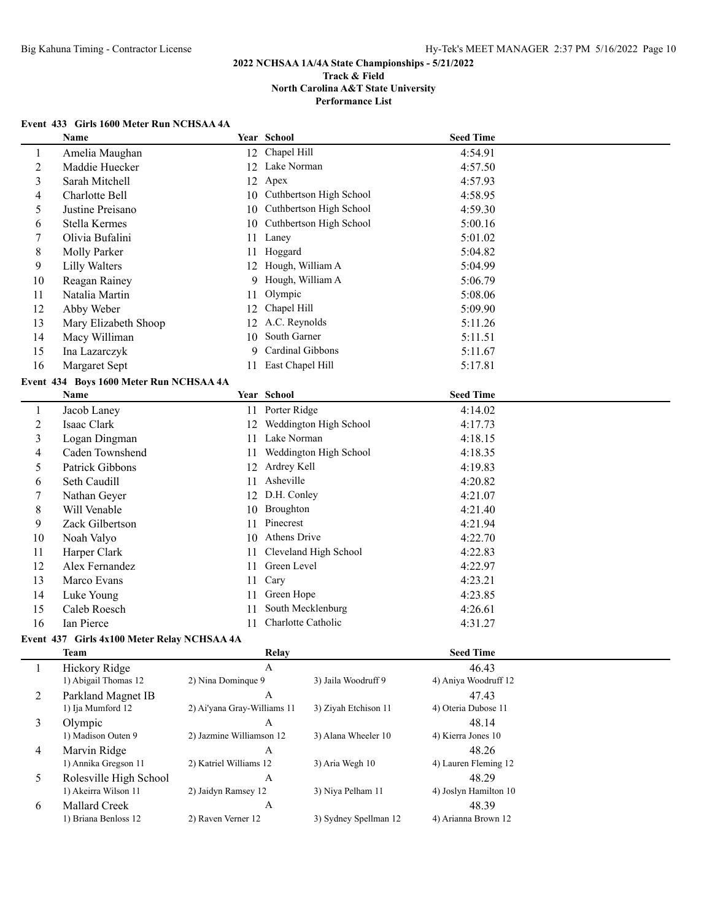# **Event 433 Girls 1600 Meter Run NCHSAA 4A**

|                | <b>Name</b>                             |    | Year School             | <b>Seed Time</b> |  |
|----------------|-----------------------------------------|----|-------------------------|------------------|--|
| 1              | Amelia Maughan                          |    | 12 Chapel Hill          | 4:54.91          |  |
| $\overline{c}$ | Maddie Huecker                          |    | 12 Lake Norman          | 4:57.50          |  |
| 3              | Sarah Mitchell                          |    | 12 Apex                 | 4:57.93          |  |
| 4              | Charlotte Bell                          | 10 | Cuthbertson High School | 4:58.95          |  |
| 5              | Justine Preisano                        | 10 | Cuthbertson High School | 4:59.30          |  |
| 6              | Stella Kermes                           | 10 | Cuthbertson High School | 5:00.16          |  |
| 7              | Olivia Bufalini                         | 11 | Laney                   | 5:01.02          |  |
| 8              | Molly Parker                            |    | 11 Hoggard              | 5:04.82          |  |
| 9              | <b>Lilly Walters</b>                    |    | 12 Hough, William A     | 5:04.99          |  |
| 10             | Reagan Rainey                           |    | 9 Hough, William A      | 5:06.79          |  |
| 11             | Natalia Martin                          | 11 | Olympic                 | 5:08.06          |  |
| 12             | Abby Weber                              | 12 | Chapel Hill             | 5:09.90          |  |
| 13             | Mary Elizabeth Shoop                    | 12 | A.C. Reynolds           | 5:11.26          |  |
| 14             | Macy Williman                           | 10 | South Garner            | 5:11.51          |  |
| 15             | Ina Lazarczyk                           | 9  | Cardinal Gibbons        | 5:11.67          |  |
| 16             | Margaret Sept                           |    | 11 East Chapel Hill     | 5:17.81          |  |
|                | Event 434 Boys 1600 Meter Run NCHSAA 4A |    |                         |                  |  |
|                |                                         |    |                         |                  |  |
|                | Name                                    |    | Year School             | <b>Seed Time</b> |  |
| $\mathbf{1}$   | Jacob Laney                             | 11 | Porter Ridge            | 4:14.02          |  |
| $\overline{c}$ | Isaac Clark                             | 12 | Weddington High School  | 4:17.73          |  |
| 3              | Logan Dingman                           | 11 | Lake Norman             | 4:18.15          |  |
| 4              | Caden Townshend                         | 11 | Weddington High School  | 4:18.35          |  |
| 5              | Patrick Gibbons                         | 12 | Ardrey Kell             | 4:19.83          |  |
| 6              | Seth Caudill                            | 11 | Asheville               | 4:20.82          |  |
| 7              | Nathan Geyer                            | 12 | D.H. Conley             | 4:21.07          |  |
| 8              | Will Venable                            | 10 | Broughton               | 4:21.40          |  |
| 9              | Zack Gilbertson                         | 11 | Pinecrest               | 4:21.94          |  |
| 10             | Noah Valyo                              | 10 | Athens Drive            | 4:22.70          |  |
| 11             | Harper Clark                            | 11 | Cleveland High School   | 4:22.83          |  |
| 12             | Alex Fernandez                          | 11 | Green Level             | 4:22.97          |  |
| 13             | Marco Evans                             | 11 | Cary                    | 4:23.21          |  |
| 14             | Luke Young                              | 11 | Green Hope              | 4:23.85          |  |
| 15             | Caleb Roesch                            | 11 | South Mecklenburg       | 4:26.61          |  |
| 16             | Ian Pierce                              | 11 | Charlotte Catholic      | 4:31.27          |  |

|   | Team                                           | Relay                            |                       | <b>Seed Time</b>               |  |
|---|------------------------------------------------|----------------------------------|-----------------------|--------------------------------|--|
|   | Hickory Ridge<br>1) Abigail Thomas 12          | А<br>2) Nina Dominque 9          | 3) Jaila Woodruff 9   | 46.43<br>4) Aniya Woodruff 12  |  |
| 2 | Parkland Magnet IB<br>1) Ija Mumford 12        | A<br>2) Ai'yana Gray-Williams 11 | 3) Ziyah Etchison 11  | 47.43<br>4) Oteria Dubose 11   |  |
| 3 | Olympic<br>1) Madison Outen 9                  | A<br>2) Jazmine Williamson 12    | 3) Alana Wheeler 10   | 48.14<br>4) Kierra Jones 10    |  |
| 4 | Marvin Ridge<br>1) Annika Gregson 11           | А<br>2) Katriel Williams 12      | 3) Aria Wegh 10       | 48.26<br>4) Lauren Fleming 12  |  |
| 5 | Rolesville High School<br>1) Akeirra Wilson 11 | A<br>2) Jaidyn Ramsey 12         | 3) Niya Pelham 11     | 48.29<br>4) Joslyn Hamilton 10 |  |
| 6 | Mallard Creek<br>1) Briana Benloss 12          | A<br>2) Raven Verner 12          | 3) Sydney Spellman 12 | 48.39<br>4) Arianna Brown 12   |  |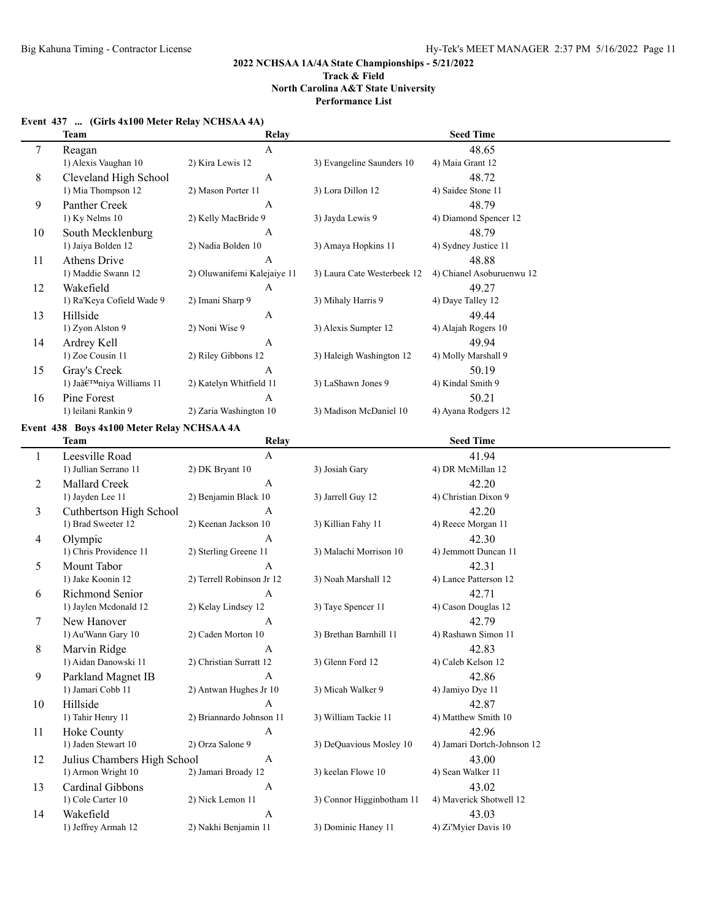**Performance List**

|  |  | Event 437  (Girls 4x100 Meter Relay NCHSAA 4A) |  |
|--|--|------------------------------------------------|--|
|--|--|------------------------------------------------|--|

|              | <b>Team</b>                                | Relay                       |                             | <b>Seed Time</b>            |
|--------------|--------------------------------------------|-----------------------------|-----------------------------|-----------------------------|
| $\tau$       | Reagan                                     | $\mathbf{A}$                |                             | 48.65                       |
|              | 1) Alexis Vaughan 10                       | 2) Kira Lewis 12            | 3) Evangeline Saunders 10   | 4) Maia Grant 12            |
| 8            | Cleveland High School                      | $\boldsymbol{A}$            |                             | 48.72                       |
|              | 1) Mia Thompson 12                         | 2) Mason Porter 11          | 3) Lora Dillon 12           | 4) Saidee Stone 11          |
| 9            | Panther Creek                              | $\boldsymbol{A}$            |                             | 48.79                       |
|              | 1) Ky Nelms 10                             | 2) Kelly MacBride 9         | 3) Jayda Lewis 9            | 4) Diamond Spencer 12       |
| 10           | South Mecklenburg                          | A                           |                             | 48.79                       |
|              | 1) Jaiya Bolden 12                         | 2) Nadia Bolden 10          | 3) Amaya Hopkins 11         | 4) Sydney Justice 11        |
| 11           | <b>Athens Drive</b>                        | A                           |                             | 48.88                       |
|              | 1) Maddie Swann 12                         | 2) Oluwanifemi Kalejaiye 11 | 3) Laura Cate Westerbeek 12 | 4) Chianel Asoburuenwu 12   |
| 12           | Wakefield                                  | A                           |                             | 49.27                       |
|              | 1) Ra'Keya Cofield Wade 9                  | 2) Imani Sharp 9            | 3) Mihaly Harris 9          | 4) Daye Talley 12           |
| 13           | Hillside                                   | A                           |                             | 49.44                       |
|              | 1) Zyon Alston 9                           | 2) Noni Wise 9              | 3) Alexis Sumpter 12        | 4) Alajah Rogers 10         |
| 14           | Ardrey Kell                                | $\boldsymbol{A}$            |                             | 49.94                       |
|              | 1) Zoe Cousin 11                           | 2) Riley Gibbons 12         | 3) Haleigh Washington 12    | 4) Molly Marshall 9         |
| 15           | Gray's Creek                               | A                           |                             | 50.19                       |
|              | 1) Ja'niya Williams 11                     | 2) Katelyn Whitfield 11     | 3) LaShawn Jones 9          | 4) Kindal Smith 9           |
| 16           | Pine Forest                                | A                           |                             | 50.21                       |
|              | 1) leilani Rankin 9                        | 2) Zaria Washington 10      | 3) Madison McDaniel 10      | 4) Ayana Rodgers 12         |
|              |                                            |                             |                             |                             |
|              | Event 438 Boys 4x100 Meter Relay NCHSAA 4A |                             |                             |                             |
|              | <b>Team</b>                                | Relay                       |                             | <b>Seed Time</b>            |
| $\mathbf{1}$ | Leesville Road                             | $\boldsymbol{\mathsf{A}}$   |                             | 41.94                       |
|              | 1) Jullian Serrano 11                      | 2) DK Bryant 10             | 3) Josiah Gary              | 4) DR McMillan 12           |
| 2            | Mallard Creek                              | $\boldsymbol{A}$            |                             | 42.20                       |
|              | 1) Jayden Lee 11                           | 2) Benjamin Black 10        | 3) Jarrell Guy 12           | 4) Christian Dixon 9        |
| 3            | Cuthbertson High School                    | A                           |                             | 42.20                       |
|              | 1) Brad Sweeter 12                         | 2) Keenan Jackson 10        | 3) Killian Fahy 11          | 4) Reece Morgan 11          |
| 4            | Olympic                                    | A                           |                             | 42.30                       |
|              | 1) Chris Providence 11                     | 2) Sterling Greene 11       | 3) Malachi Morrison 10      | 4) Jemmott Duncan 11        |
| 5            | Mount Tabor                                | A                           |                             | 42.31                       |
|              | 1) Jake Koonin 12                          | 2) Terrell Robinson Jr 12   | 3) Noah Marshall 12         | 4) Lance Patterson 12       |
| 6            | Richmond Senior                            | $\boldsymbol{A}$            |                             | 42.71                       |
|              | 1) Jaylen Mcdonald 12                      | 2) Kelay Lindsey 12         | 3) Taye Spencer 11          | 4) Cason Douglas 12         |
| 7            | New Hanover                                | A                           |                             | 42.79                       |
|              | 1) Au'Wann Gary 10                         | 2) Caden Morton 10          | 3) Brethan Barnhill 11      | 4) Rashawn Simon 11         |
| 8            | Marvin Ridge                               | A                           |                             | 42.83                       |
|              | 1) Aidan Danowski 11                       | 2) Christian Surratt 12     | 3) Glenn Ford 12            | 4) Caleb Kelson 12          |
| 9            | Parkland Magnet IB                         | A                           |                             | 42.86                       |
|              | 1) Jamari Cobb 11                          | 2) Antwan Hughes Jr 10      | 3) Micah Walker 9           | 4) Jamiyo Dye 11            |
| 10           | Hillside                                   | $\mathbf{A}$                |                             | 42.87                       |
|              | 1) Tahir Henry 11                          | 2) Briannardo Johnson 11    | 3) William Tackie 11        | 4) Matthew Smith 10         |
| 11           | Hoke County                                | $\mathbf{A}$                |                             | 42.96                       |
|              | 1) Jaden Stewart 10                        | 2) Orza Salone 9            | 3) DeQuavious Mosley 10     | 4) Jamari Dortch-Johnson 12 |
| 12           | Julius Chambers High School                | $\boldsymbol{A}$            |                             | 43.00                       |
|              | 1) Armon Wright 10                         | 2) Jamari Broady 12         | 3) keelan Flowe 10          | 4) Sean Walker 11           |
| 13           | Cardinal Gibbons                           | A                           |                             | 43.02                       |
|              | 1) Cole Carter 10                          | 2) Nick Lemon 11            | 3) Connor Higginbotham 11   | 4) Maverick Shotwell 12     |
| 14           | Wakefield                                  | $\boldsymbol{A}$            |                             | 43.03                       |
|              | 1) Jeffrey Armah 12                        | 2) Nakhi Benjamin 11        | 3) Dominic Haney 11         | 4) Zi'Myier Davis 10        |
|              |                                            |                             |                             |                             |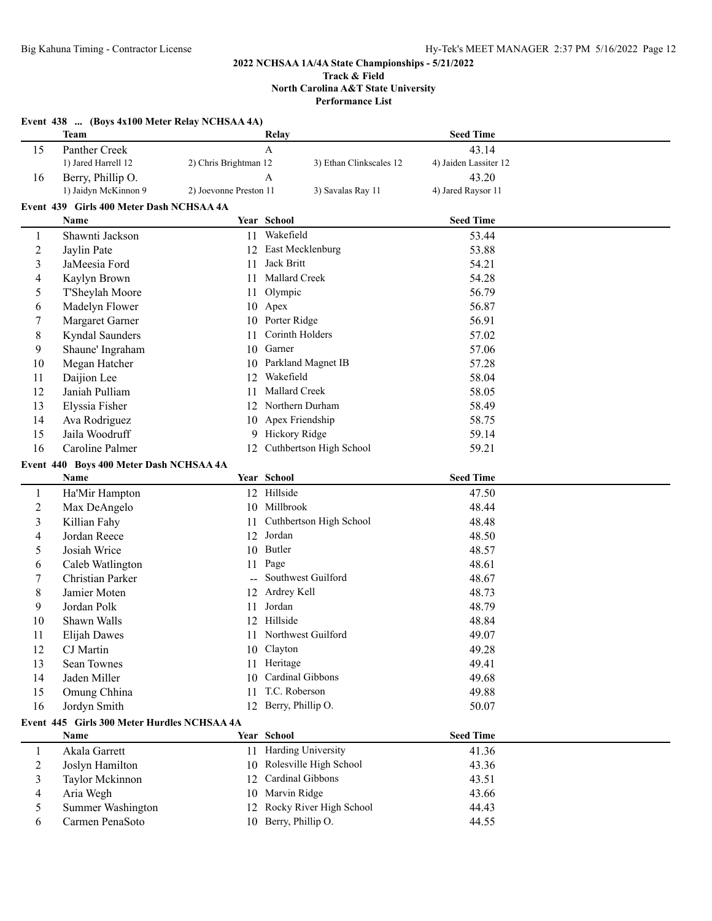**Performance List**

|                  | Event 438  (Boys 4x100 Meter Relay NCHSAA 4A)<br>Team |                        | Relay                      | <b>Seed Time</b>      |  |
|------------------|-------------------------------------------------------|------------------------|----------------------------|-----------------------|--|
| 15               | Panther Creek                                         |                        | $\mathbf{A}$               | 43.14                 |  |
|                  | 1) Jared Harrell 12                                   | 2) Chris Brightman 12  | 3) Ethan Clinkscales 12    | 4) Jaiden Lassiter 12 |  |
| 16               | Berry, Phillip O.                                     |                        | $\overline{A}$             | 43.20                 |  |
|                  | 1) Jaidyn McKinnon 9                                  | 2) Joevonne Preston 11 | 3) Savalas Ray 11          | 4) Jared Raysor 11    |  |
|                  |                                                       |                        |                            |                       |  |
|                  | Event 439 Girls 400 Meter Dash NCHSAA 4A<br>Name      |                        | Year School                | <b>Seed Time</b>      |  |
| 1                | Shawnti Jackson                                       | 11                     | Wakefield                  | 53.44                 |  |
| $\overline{2}$   | Jaylin Pate                                           | 12                     | East Mecklenburg           | 53.88                 |  |
| 3                | JaMeesia Ford                                         | 11                     | Jack Britt                 | 54.21                 |  |
| 4                | Kaylyn Brown                                          | 11                     | Mallard Creek              | 54.28                 |  |
| 5                | T'Sheylah Moore                                       | 11                     | Olympic                    | 56.79                 |  |
| 6                | Madelyn Flower                                        | 10                     | Apex                       | 56.87                 |  |
| 7                | Margaret Garner                                       | 10                     | Porter Ridge               | 56.91                 |  |
| 8                | Kyndal Saunders                                       | 11                     | Corinth Holders            | 57.02                 |  |
|                  |                                                       |                        | Garner                     | 57.06                 |  |
| 9                | Shaune' Ingraham                                      | 10                     |                            |                       |  |
| 10               | Megan Hatcher                                         | 10.                    | Parkland Magnet IB         | 57.28                 |  |
| 11               | Daijion Lee                                           | 12                     | Wakefield                  | 58.04                 |  |
| 12               | Janiah Pulliam                                        | 11                     | Mallard Creek              | 58.05                 |  |
| 13               | Elyssia Fisher                                        |                        | 12 Northern Durham         | 58.49                 |  |
| 14               | Ava Rodriguez                                         | 10                     | Apex Friendship            | 58.75                 |  |
| 15               | Jaila Woodruff                                        |                        | 9 Hickory Ridge            | 59.14                 |  |
| 16               | Caroline Palmer                                       | 12                     | Cuthbertson High School    | 59.21                 |  |
|                  | Event 440 Boys 400 Meter Dash NCHSAA 4A               |                        |                            |                       |  |
|                  | Name                                                  |                        | Year School                | <b>Seed Time</b>      |  |
| $\mathbf{1}$     | Ha'Mir Hampton                                        |                        | 12 Hillside                | 47.50                 |  |
| $\boldsymbol{2}$ | Max DeAngelo                                          |                        | 10 Millbrook               | 48.44                 |  |
| 3                | Killian Fahy                                          | 11                     | Cuthbertson High School    | 48.48                 |  |
| 4                | Jordan Reece                                          | 12                     | Jordan                     | 48.50                 |  |
| 5                | Josiah Wrice                                          | 10                     | Butler                     | 48.57                 |  |
| 6                | Caleb Watlington                                      | 11                     | Page                       | 48.61                 |  |
| 7                | Christian Parker                                      |                        | Southwest Guilford         | 48.67                 |  |
| 8                | Jamier Moten                                          | 12                     | Ardrey Kell                | 48.73                 |  |
| 9                | Jordan Polk                                           | 11                     | Jordan                     | 48.79                 |  |
| 10               | Shawn Walls                                           | 12                     | Hillside                   | 48.84                 |  |
| 11               | Elijah Dawes                                          |                        | 11 Northwest Guilford      | 49.07                 |  |
| 12               | CJ Martin                                             |                        | 10 Clayton                 | 49.28                 |  |
| 13               | Sean Townes                                           | 11                     | Heritage                   | 49.41                 |  |
| 14               | Jaden Miller                                          | 10                     | Cardinal Gibbons           | 49.68                 |  |
| 15               | Omung Chhina                                          | 11                     | T.C. Roberson              | 49.88                 |  |
| 16               | Jordyn Smith                                          |                        | 12 Berry, Phillip O.       | 50.07                 |  |
|                  | Event 445 Girls 300 Meter Hurdles NCHSAA 4A           |                        |                            |                       |  |
|                  | Name                                                  |                        | Year School                | <b>Seed Time</b>      |  |
| 1                | Akala Garrett                                         |                        | 11 Harding University      | 41.36                 |  |
| $\overline{c}$   | Joslyn Hamilton                                       |                        | 10 Rolesville High School  | 43.36                 |  |
| 3                | Taylor Mckinnon                                       |                        | 12 Cardinal Gibbons        | 43.51                 |  |
| 4                | Aria Wegh                                             | 10                     | Marvin Ridge               | 43.66                 |  |
| 5                | Summer Washington                                     |                        | 12 Rocky River High School | 44.43                 |  |
| 6                | Carmen PenaSoto                                       |                        | 10 Berry, Phillip O.       | 44.55                 |  |
|                  |                                                       |                        |                            |                       |  |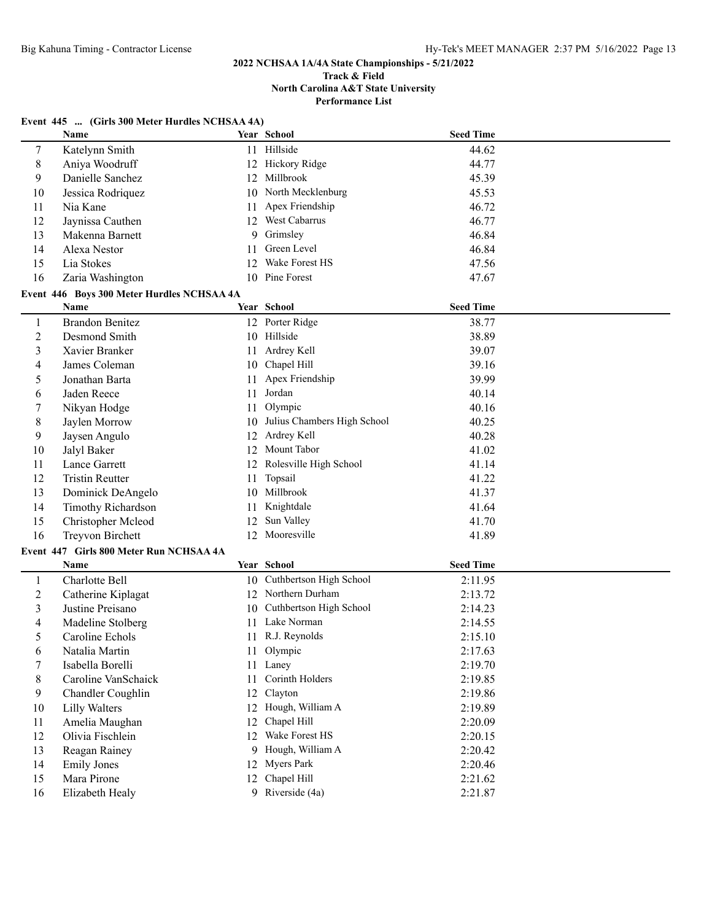#### **Track & Field North Carolina A&T State University Performance List**

### **Event 445 ... (Girls 300 Meter Hurdles NCHSAA 4A)**

|                | Name                                       |    | Year School                 | <b>Seed Time</b> |  |
|----------------|--------------------------------------------|----|-----------------------------|------------------|--|
| $\tau$         | Katelynn Smith                             |    | 11 Hillside                 | 44.62            |  |
| 8              | Aniya Woodruff                             |    | 12 Hickory Ridge            | 44.77            |  |
| 9              | Danielle Sanchez                           |    | 12 Millbrook                | 45.39            |  |
| 10             | Jessica Rodriquez                          | 10 | North Mecklenburg           | 45.53            |  |
| 11             | Nia Kane                                   | 11 | Apex Friendship             | 46.72            |  |
| 12             | Jaynissa Cauthen                           | 12 | West Cabarrus               | 46.77            |  |
| 13             | Makenna Barnett                            | 9  | Grimsley                    | 46.84            |  |
| 14             | Alexa Nestor                               | 11 | Green Level                 | 46.84            |  |
| 15             | Lia Stokes                                 | 12 | Wake Forest HS              | 47.56            |  |
| 16             | Zaria Washington                           |    | 10 Pine Forest              | 47.67            |  |
|                | Event 446 Boys 300 Meter Hurdles NCHSAA 4A |    |                             |                  |  |
|                | Name                                       |    | Year School                 | <b>Seed Time</b> |  |
| $\mathbf{1}$   | <b>Brandon Benitez</b>                     |    | 12 Porter Ridge             | 38.77            |  |
| $\overline{2}$ | Desmond Smith                              |    | 10 Hillside                 | 38.89            |  |
| 3              | Xavier Branker                             |    | 11 Ardrey Kell              | 39.07            |  |
| 4              | James Coleman                              | 10 | Chapel Hill                 | 39.16            |  |
| 5              | Jonathan Barta                             | 11 | Apex Friendship             | 39.99            |  |
| 6              | Jaden Reece                                | 11 | Jordan                      | 40.14            |  |
| 7              | Nikyan Hodge                               | 11 | Olympic                     | 40.16            |  |
| 8              | Jaylen Morrow                              | 10 | Julius Chambers High School | 40.25            |  |
| 9              | Jaysen Angulo                              | 12 | Ardrey Kell                 | 40.28            |  |
| 10             | Jalyl Baker                                |    | 12 Mount Tabor              | 41.02            |  |
| 11             | Lance Garrett                              |    | 12 Rolesville High School   | 41.14            |  |
| 12             | <b>Tristin Reutter</b>                     | 11 | Topsail                     | 41.22            |  |
| 13             | Dominick DeAngelo                          |    | 10 Millbrook                | 41.37            |  |
| 14             | <b>Timothy Richardson</b>                  | 11 | Knightdale                  | 41.64            |  |
| 15             | Christopher Mcleod                         | 12 | Sun Valley                  | 41.70            |  |
| 16             | <b>Treyvon Birchett</b>                    |    | 12 Mooresville              | 41.89            |  |
|                | Event 447 Girls 800 Meter Run NCHSAA 4A    |    |                             |                  |  |
|                | Name                                       |    | Year School                 | <b>Seed Time</b> |  |
| $\mathbf{1}$   | Charlotte Bell                             | 10 | Cuthbertson High School     | 2:11.95          |  |
| $\overline{c}$ | Catherine Kiplagat                         |    | 12 Northern Durham          | 2:13.72          |  |
| 3              | Justine Preisano                           | 10 | Cuthbertson High School     | 2:14.23          |  |
| 4              | Madeline Stolberg                          |    | 11 Lake Norman              | 2:14.55          |  |
| 5              | Caroline Echols                            |    | 11 R.J. Reynolds            | 2:15.10          |  |
| 6              | Natalia Martin                             |    | 11 Olympic                  | 2:17.63          |  |
| 7              | Isabella Borelli                           |    | 11 Laney                    | 2:19.70          |  |
| 8              | Caroline VanSchaick                        | 11 | Corinth Holders             | 2:19.85          |  |
| 9              | Chandler Coughlin                          | 12 | Clayton                     | 2:19.86          |  |
| 10             | <b>Lilly Walters</b>                       |    | 12 Hough, William A         | 2:19.89          |  |
| 11             | Amelia Maughan                             | 12 | Chapel Hill                 | 2:20.09          |  |
| 12             | Olivia Fischlein                           |    | 12 Wake Forest HS           | 2:20.15          |  |
| 13             | Reagan Rainey                              |    | 9 Hough, William A          | 2:20.42          |  |
| 14             | <b>Emily Jones</b>                         |    | 12 Myers Park               | 2:20.46          |  |
| 15             | Mara Pirone                                |    | 12 Chapel Hill              | 2:21.62          |  |
| 16             | Elizabeth Healy                            |    | 9 Riverside (4a)            | 2:21.87          |  |
|                |                                            |    |                             |                  |  |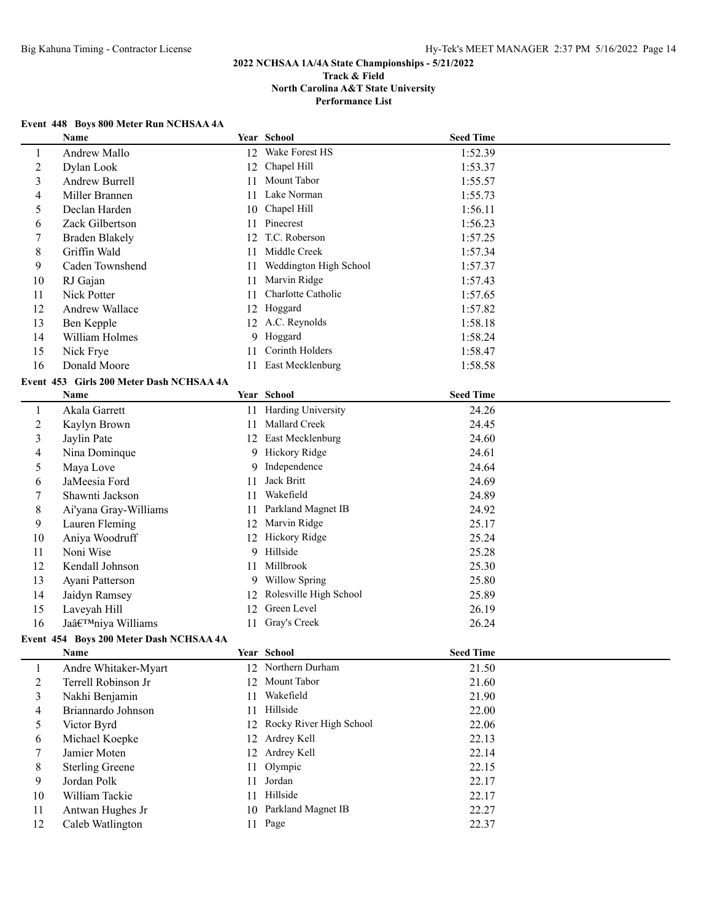## **Event 448 Boys 800 Meter Run NCHSAA 4A**

|                          | Name                                     |    | Year School                               | <b>Seed Time</b> |  |
|--------------------------|------------------------------------------|----|-------------------------------------------|------------------|--|
| $\mathbf{1}$             | Andrew Mallo                             | 12 | Wake Forest HS                            | 1:52.39          |  |
| $\overline{c}$           | Dylan Look                               | 12 | Chapel Hill                               | 1:53.37          |  |
| 3                        | Andrew Burrell                           | 11 | Mount Tabor                               | 1:55.57          |  |
| $\overline{4}$           | Miller Brannen                           |    | 11 Lake Norman                            | 1:55.73          |  |
| 5                        | Declan Harden                            | 10 | Chapel Hill                               | 1:56.11          |  |
| 6                        | Zack Gilbertson                          |    | 11 Pinecrest                              | 1:56.23          |  |
| 7                        | <b>Braden Blakely</b>                    | 12 | T.C. Roberson                             | 1:57.25          |  |
| $\,8$                    | Griffin Wald                             | 11 | Middle Creek                              | 1:57.34          |  |
| 9                        | Caden Townshend                          | 11 | Weddington High School                    | 1:57.37          |  |
| 10                       | RJ Gajan                                 | 11 | Marvin Ridge                              | 1:57.43          |  |
| 11                       | Nick Potter                              | 11 | Charlotte Catholic                        | 1:57.65          |  |
| 12                       | Andrew Wallace                           | 12 | Hoggard                                   | 1:57.82          |  |
| 13                       | Ben Kepple                               |    | 12 A.C. Reynolds                          | 1:58.18          |  |
| 14                       | William Holmes                           | 9  | Hoggard                                   | 1:58.24          |  |
| 15                       | Nick Frye                                | 11 | Corinth Holders                           | 1:58.47          |  |
| 16                       | Donald Moore                             |    | 11 East Mecklenburg                       | 1:58.58          |  |
|                          | Event 453 Girls 200 Meter Dash NCHSAA 4A |    |                                           |                  |  |
|                          | Name                                     |    | Year School                               | <b>Seed Time</b> |  |
|                          |                                          |    |                                           |                  |  |
| $\mathbf{1}$             | Akala Garrett                            |    | 11 Harding University<br>11 Mallard Creek | 24.26            |  |
| $\boldsymbol{2}$         | Kaylyn Brown                             |    |                                           | 24.45            |  |
| $\mathfrak{Z}$           | Jaylin Pate                              |    | 12 East Mecklenburg                       | 24.60            |  |
| $\overline{\mathcal{A}}$ | Nina Dominque                            |    | 9 Hickory Ridge                           | 24.61            |  |
| 5                        | Maya Love                                |    | 9 Independence                            | 24.64            |  |
| 6                        | JaMeesia Ford                            | 11 | Jack Britt                                | 24.69            |  |
| 7                        | Shawnti Jackson                          | 11 | Wakefield                                 | 24.89            |  |
| 8                        | Ai'yana Gray-Williams                    | 11 | Parkland Magnet IB                        | 24.92            |  |
| 9                        | Lauren Fleming                           |    | 12 Marvin Ridge                           | 25.17            |  |
| 10                       | Aniya Woodruff                           |    | 12 Hickory Ridge                          | 25.24            |  |
| 11                       | Noni Wise                                |    | 9 Hillside                                | 25.28            |  |
| 12                       | Kendall Johnson                          | 11 | Millbrook                                 | 25.30            |  |
| 13                       | Ayani Patterson                          |    | 9 Willow Spring                           | 25.80            |  |
| 14                       | Jaidyn Ramsey                            | 12 | Rolesville High School                    | 25.89            |  |
| 15                       | Laveyah Hill                             | 12 | Green Level                               | 26.19            |  |
| 16                       | Ja'niya Williams                         | 11 | Gray's Creek                              | 26.24            |  |
|                          | Event 454 Boys 200 Meter Dash NCHSAA 4A  |    |                                           |                  |  |
|                          | <b>Name</b>                              |    | Year School                               | <b>Seed Time</b> |  |
| $\mathbf{1}$             | Andre Whitaker-Myart                     |    | 12 Northern Durham                        | 21.50            |  |
| $\boldsymbol{2}$         | Terrell Robinson Jr                      | 12 | Mount Tabor                               | 21.60            |  |
| $\mathfrak{Z}$           | Nakhi Benjamin                           | 11 | Wakefield                                 | 21.90            |  |
| $\overline{\mathcal{A}}$ | Briannardo Johnson                       | 11 | Hillside                                  | 22.00            |  |
| 5                        | Victor Byrd                              |    | 12 Rocky River High School                | 22.06            |  |
| 6                        | Michael Koepke                           | 12 | Ardrey Kell                               | 22.13            |  |
| 7                        | Jamier Moten                             |    | 12 Ardrey Kell                            | 22.14            |  |
| 8                        | <b>Sterling Greene</b>                   | 11 | Olympic                                   | 22.15            |  |
| 9                        | Jordan Polk                              | 11 | Jordan                                    | 22.17            |  |
| 10                       | William Tackie                           |    | 11 Hillside                               | 22.17            |  |
| 11                       | Antwan Hughes Jr                         |    | 10 Parkland Magnet IB                     | 22.27            |  |
| 12                       | Caleb Watlington                         |    | 11 Page                                   | 22.37            |  |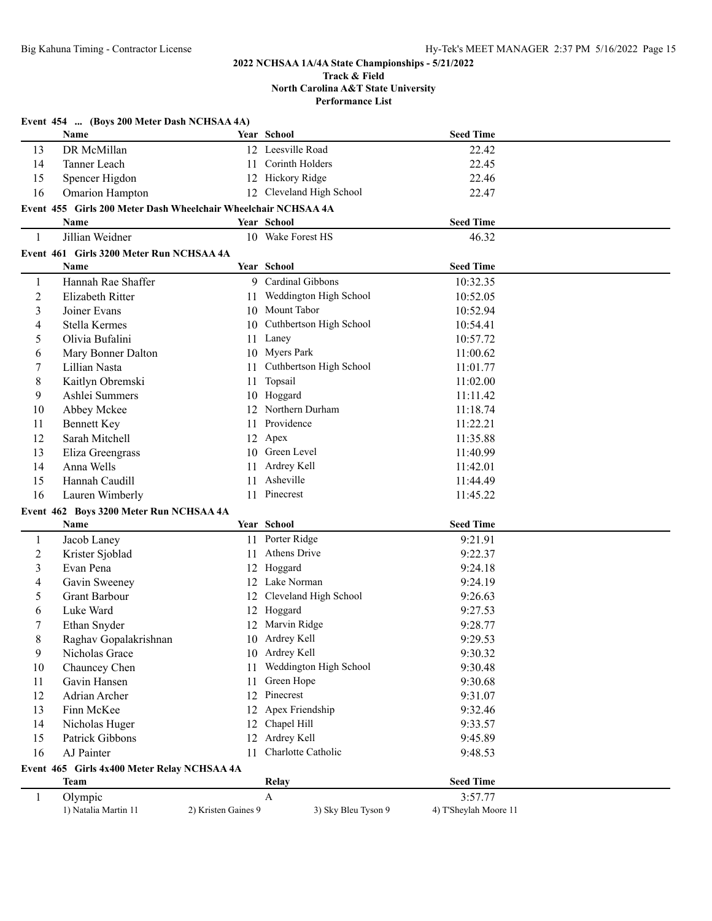#### **Track & Field North Carolina A&T State University Performance List**

|                | Event 454  (Boys 200 Meter Dash NCHSAA 4A)                     |                     |                            |                       |  |
|----------------|----------------------------------------------------------------|---------------------|----------------------------|-----------------------|--|
|                | Name                                                           |                     | Year School                | <b>Seed Time</b>      |  |
| 13             | DR McMillan                                                    |                     | 12 Leesville Road          | 22.42                 |  |
| 14             | Tanner Leach                                                   | 11                  | Corinth Holders            | 22.45                 |  |
| 15             | Spencer Higdon                                                 |                     | 12 Hickory Ridge           | 22.46                 |  |
| 16             | <b>Omarion Hampton</b>                                         |                     | 12 Cleveland High School   | 22.47                 |  |
|                | Event 455 Girls 200 Meter Dash Wheelchair Wheelchair NCHSAA 4A |                     |                            |                       |  |
|                | <b>Name</b>                                                    |                     | Year School                | <b>Seed Time</b>      |  |
| 1              | Jillian Weidner                                                |                     | 10 Wake Forest HS          | 46.32                 |  |
|                | Event 461 Girls 3200 Meter Run NCHSAA 4A                       |                     |                            |                       |  |
|                | <b>Name</b>                                                    |                     | Year School                | <b>Seed Time</b>      |  |
| 1              | Hannah Rae Shaffer                                             |                     | 9 Cardinal Gibbons         | 10:32.35              |  |
| $\overline{c}$ | Elizabeth Ritter                                               |                     | 11 Weddington High School  | 10:52.05              |  |
| 3              | Joiner Evans                                                   |                     | 10 Mount Tabor             | 10:52.94              |  |
| 4              | Stella Kermes                                                  |                     | 10 Cuthbertson High School | 10:54.41              |  |
| 5              | Olivia Bufalini                                                |                     | 11 Laney                   | 10:57.72              |  |
| 6              | Mary Bonner Dalton                                             |                     | 10 Myers Park              | 11:00.62              |  |
| 7              | Lillian Nasta                                                  |                     | 11 Cuthbertson High School | 11:01.77              |  |
| 8              | Kaitlyn Obremski                                               | 11                  | Topsail                    | 11:02.00              |  |
| 9              | Ashlei Summers                                                 |                     | 10 Hoggard                 | 11:11.42              |  |
| 10             | Abbey Mckee                                                    |                     | 12 Northern Durham         | 11:18.74              |  |
| 11             | <b>Bennett Key</b>                                             | 11                  | Providence                 | 11:22.21              |  |
| 12             | Sarah Mitchell                                                 |                     | 12 Apex                    | 11:35.88              |  |
| 13             | Eliza Greengrass                                               |                     | 10 Green Level             | 11:40.99              |  |
| 14             | Anna Wells                                                     | 11                  | Ardrey Kell                | 11:42.01              |  |
| 15             | Hannah Caudill                                                 | 11                  | Asheville                  | 11:44.49              |  |
| 16             | Lauren Wimberly                                                | 11                  | Pinecrest                  | 11:45.22              |  |
|                | Event 462 Boys 3200 Meter Run NCHSAA 4A                        |                     |                            |                       |  |
|                | Name                                                           |                     | Year School                | <b>Seed Time</b>      |  |
| 1              | Jacob Laney                                                    |                     | 11 Porter Ridge            | 9:21.91               |  |
| $\overline{c}$ | Krister Sjoblad                                                | 11                  | Athens Drive               | 9:22.37               |  |
| 3              | Evan Pena                                                      | 12                  | Hoggard                    | 9:24.18               |  |
| 4              | Gavin Sweeney                                                  | 12                  | Lake Norman                | 9:24.19               |  |
| 5              | <b>Grant Barbour</b>                                           |                     | 12 Cleveland High School   | 9:26.63               |  |
| 6              | Luke Ward                                                      |                     | 12 Hoggard                 | 9:27.53               |  |
| 7              | Ethan Snyder                                                   |                     | 12 Marvin Ridge            | 9:28.77               |  |
| 8              | Raghav Gopalakrishnan                                          |                     | 10 Ardrey Kell             | 9:29.53               |  |
| 9              | Nicholas Grace                                                 |                     | 10 Ardrey Kell             | 9:30.32               |  |
| 10             | Chauncey Chen                                                  | 11                  | Weddington High School     | 9:30.48               |  |
| 11             | Gavin Hansen                                                   | 11                  | Green Hope                 | 9:30.68               |  |
| 12             | Adrian Archer                                                  | 12                  | Pinecrest                  | 9:31.07               |  |
| 13             | Finn McKee                                                     | 12                  | Apex Friendship            | 9:32.46               |  |
| 14             | Nicholas Huger                                                 | 12                  | Chapel Hill                | 9:33.57               |  |
| 15             | Patrick Gibbons                                                | 12                  | Ardrey Kell                | 9:45.89               |  |
| 16             | AJ Painter                                                     | 11                  | Charlotte Catholic         | 9:48.53               |  |
|                | Event 465 Girls 4x400 Meter Relay NCHSAA 4A                    |                     |                            |                       |  |
|                | <b>Team</b>                                                    |                     | Relay                      | <b>Seed Time</b>      |  |
| 1              | Olympic                                                        |                     | $\mathbf{A}$               | 3:57.77               |  |
|                | 1) Natalia Martin 11                                           | 2) Kristen Gaines 9 | 3) Sky Bleu Tyson 9        | 4) T'Sheylah Moore 11 |  |
|                |                                                                |                     |                            |                       |  |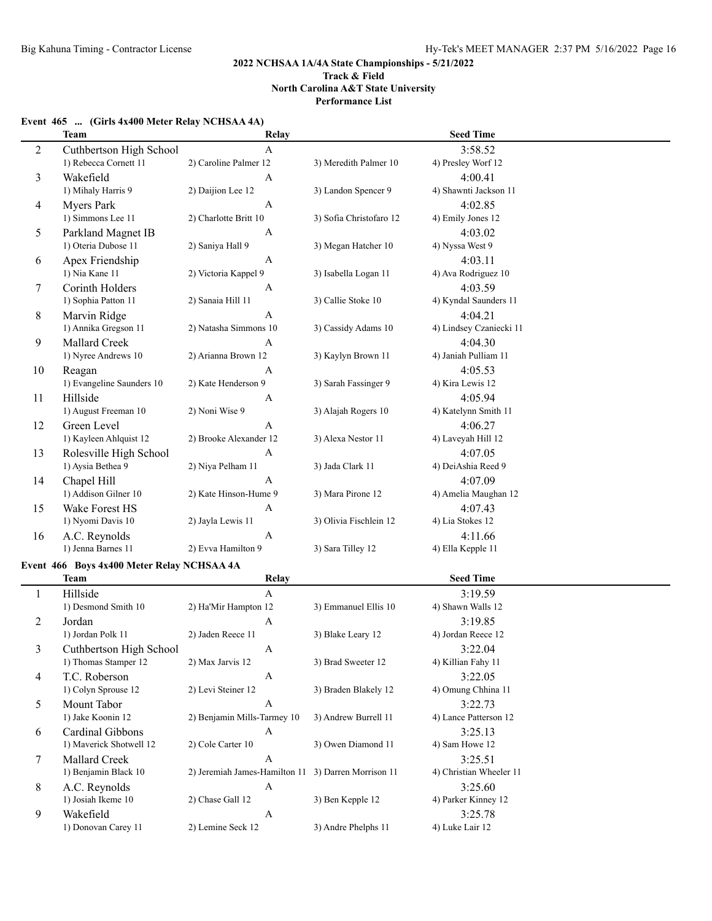## **Event 465 ... (Girls 4x400 Meter Relay NCHSAA 4A)**

|                | <b>Team</b>                                | Relay                                               |                         | <b>Seed Time</b>              |
|----------------|--------------------------------------------|-----------------------------------------------------|-------------------------|-------------------------------|
| $\overline{2}$ | Cuthbertson High School                    | $\mathbf{A}$                                        |                         | 3:58.52                       |
|                | 1) Rebecca Cornett 11                      | 2) Caroline Palmer 12                               | 3) Meredith Palmer 10   | 4) Presley Worf 12            |
| 3              | Wakefield                                  | A                                                   |                         | 4:00.41                       |
|                | 1) Mihaly Harris 9                         | 2) Daijion Lee 12                                   | 3) Landon Spencer 9     | 4) Shawnti Jackson 11         |
| 4              | <b>Myers Park</b>                          | A                                                   |                         | 4:02.85                       |
|                | 1) Simmons Lee 11                          | 2) Charlotte Britt 10                               | 3) Sofia Christofaro 12 | 4) Emily Jones 12             |
| 5              | Parkland Magnet IB                         | A                                                   |                         | 4:03.02                       |
|                | 1) Oteria Dubose 11                        | 2) Saniya Hall 9                                    | 3) Megan Hatcher 10     | 4) Nyssa West 9               |
| 6              | Apex Friendship                            | $\mathbf{A}$                                        |                         | 4:03.11                       |
|                | 1) Nia Kane 11                             | 2) Victoria Kappel 9                                | 3) Isabella Logan 11    | 4) Ava Rodriguez 10           |
| 7              | Corinth Holders                            | A                                                   |                         | 4:03.59                       |
|                | 1) Sophia Patton 11                        | 2) Sanaia Hill 11                                   | 3) Callie Stoke 10      | 4) Kyndal Saunders 11         |
| 8              | Marvin Ridge                               | A                                                   |                         | 4:04.21                       |
|                | 1) Annika Gregson 11                       | 2) Natasha Simmons 10                               | 3) Cassidy Adams 10     | 4) Lindsey Czaniecki 11       |
| 9              | Mallard Creek                              | A                                                   |                         | 4:04.30                       |
|                | 1) Nyree Andrews 10                        | 2) Arianna Brown 12                                 | 3) Kaylyn Brown 11      | 4) Janiah Pulliam 11          |
| 10             | Reagan                                     | A                                                   |                         | 4:05.53                       |
|                | 1) Evangeline Saunders 10                  | 2) Kate Henderson 9                                 | 3) Sarah Fassinger 9    | 4) Kira Lewis 12              |
|                | Hillside                                   |                                                     |                         | 4:05.94                       |
| 11             | 1) August Freeman 10                       | A<br>2) Noni Wise 9                                 | 3) Alajah Rogers 10     | 4) Katelynn Smith 11          |
|                |                                            |                                                     |                         |                               |
| 12             | Green Level                                | A<br>2) Brooke Alexander 12                         | 3) Alexa Nestor 11      | 4:06.27                       |
|                | 1) Kayleen Ahlquist 12                     |                                                     |                         | 4) Laveyah Hill 12            |
| 13             | Rolesville High School                     | A                                                   |                         | 4:07.05<br>4) DeiAshia Reed 9 |
|                | 1) Aysia Bethea 9                          | 2) Niya Pelham 11                                   | 3) Jada Clark 11        |                               |
| 14             | Chapel Hill                                | A                                                   |                         | 4:07.09                       |
|                | 1) Addison Gilner 10                       | 2) Kate Hinson-Hume 9                               | 3) Mara Pirone 12       | 4) Amelia Maughan 12          |
| 15             | Wake Forest HS                             | A                                                   |                         | 4:07.43                       |
|                | 1) Nyomi Davis 10                          | 2) Jayla Lewis 11                                   | 3) Olivia Fischlein 12  | 4) Lia Stokes 12              |
| 16             | A.C. Reynolds                              | A                                                   |                         | 4:11.66                       |
|                | 1) Jenna Barnes 11                         | 2) Evva Hamilton 9                                  | 3) Sara Tilley 12       | 4) Ella Kepple 11             |
|                | Event 466 Boys 4x400 Meter Relay NCHSAA 4A |                                                     |                         |                               |
|                | <b>Team</b>                                | <b>Relay</b>                                        |                         | <b>Seed Time</b>              |
| $\mathbf{1}$   | Hillside                                   | $\mathbf{A}$                                        |                         | 3:19.59                       |
|                | 1) Desmond Smith 10                        | 2) Ha'Mir Hampton 12                                | 3) Emmanuel Ellis 10    | 4) Shawn Walls 12             |
| 2              | Jordan                                     | A                                                   |                         | 3:19.85                       |
|                | 1) Jordan Polk 11                          | 2) Jaden Reece 11                                   | 3) Blake Leary 12       | 4) Jordan Reece 12            |
|                | Cuthbertson High School                    | A                                                   |                         | 3:22.04                       |
|                | 1) Thomas Stamper 12                       | 2) Max Jarvis 12                                    | 3) Brad Sweeter 12      | 4) Killian Fahy 11            |
| 4              | T.C. Roberson                              | $\boldsymbol{A}$                                    |                         | 3:22.05                       |
|                | 1) Colyn Sprouse 12                        | 2) Levi Steiner 12                                  | 3) Braden Blakely 12    | 4) Omung Chhina 11            |
| 5              | Mount Tabor                                | A                                                   |                         | 3:22.73                       |
|                | 1) Jake Koonin 12                          | 2) Benjamin Mills-Tarmey 10                         | 3) Andrew Burrell 11    | 4) Lance Patterson 12         |
| 6              | Cardinal Gibbons                           | A                                                   |                         | 3:25.13                       |
|                | 1) Maverick Shotwell 12                    | 2) Cole Carter 10                                   | 3) Owen Diamond 11      | 4) Sam Howe 12                |
| 7              | Mallard Creek                              | $\boldsymbol{A}$                                    |                         | 3:25.51                       |
|                | 1) Benjamin Black 10                       | 2) Jeremiah James-Hamilton 11 3) Darren Morrison 11 |                         | 4) Christian Wheeler 11       |
| 8              | A.C. Reynolds                              | A                                                   |                         | 3:25.60                       |
|                | 1) Josiah Ikeme 10                         | 2) Chase Gall 12                                    | 3) Ben Kepple 12        | 4) Parker Kinney 12           |
| 9              | Wakefield                                  | A                                                   |                         | 3:25.78                       |
|                | 1) Donovan Carey 11                        | 2) Lemine Seck 12                                   | 3) Andre Phelphs 11     | 4) Luke Lair 12               |